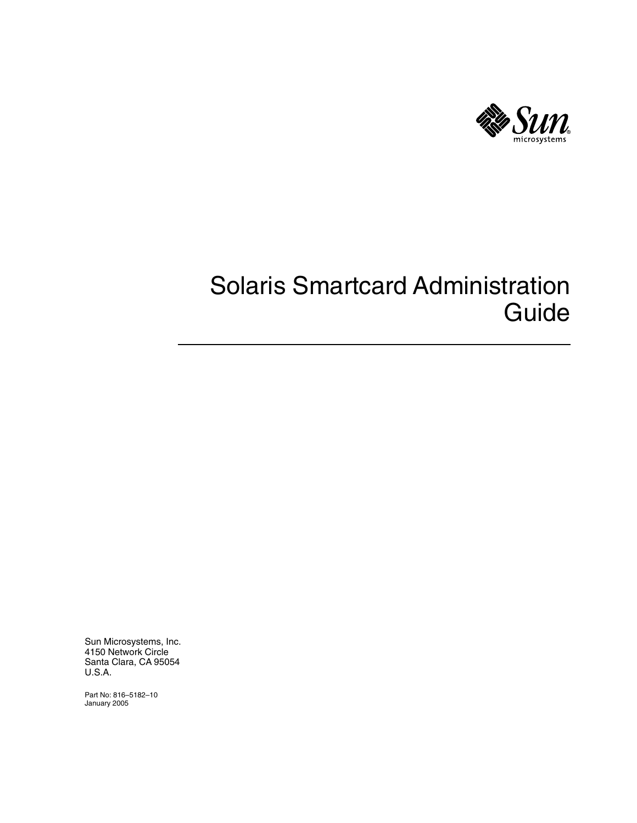

# Solaris Smartcard Administration Guide

Sun Microsystems, Inc. 4150 Network Circle Santa Clara, CA 95054 U.S.A.

Part No: 816–5182–10 January 2005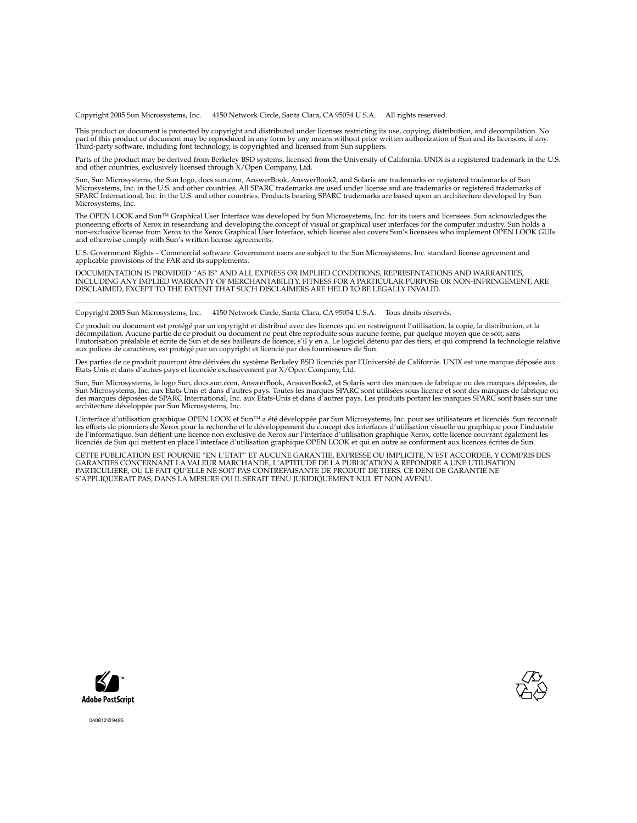Copyright 2005 Sun Microsystems, Inc. 4150 Network Circle, Santa Clara, CA 95054 U.S.A. All rights reserved.

This product or document is protected by copyright and distributed under licenses restricting its use, copying, distribution, and decompilation. No part of this product or document may be reproduced in any form by any means without prior written authorization of Sun and its licensors, if any.<br>Third-party software, including font technology, is copyrighted and licensed

Parts of the product may be derived from Berkeley BSD systems, licensed from the University of California. UNIX is a registered trademark in the U.S. and other countries, exclusively licensed through X/Open Company, Ltd.

Sun, Sun Microsystems, the Sun logo, docs.sun.com, AnswerBook, AnswerBook2, and Solaris are trademarks or registered trademarks of Sun<br>Microsystems, Inc. in the U.S. and other countries. All SPARC trademarks are used under Microsystems, Inc.

The OPEN LOOK and Sun™ Graphical User Interface was developed by Sun Microsystems, Inc. for its users and licensees. Sun acknowledges the pioneering efforts of Xerox in researching and developing the concept of visual or graphical user interfaces for the computer industry. Sun holds a<br>non-exclusive license from Xerox to the Xerox Graphical User Interface, wh and otherwise comply with Sun's written license agreements.

U.S. Government Rights – Commercial software. Government users are subject to the Sun Microsystems, Inc. standard license agreement and applicable provisions of the FAR and its supplements.

DOCUMENTATION IS PROVIDED "AS IS" AND ALL EXPRESS OR IMPLIED CONDITIONS, REPRESENTATIONS AND WARRANTIES,<br>INCLUDING ANY IMPLIED WARRANTY OF MERCHANTABILITY, FITNESS FOR A PARTICULAR PURPOSE OR NON-INFRINGEMENT, ARE<br>DISCLAIM

Copyright 2005 Sun Microsystems, Inc. 4150 Network Circle, Santa Clara, CA 95054 U.S.A. Tous droits réservés.

Ce produit ou document est protégé par un copyright et distribué avec des licences qui en restreignent l'utilisation, la copie, la distribution, et la décompilation. Aucune partie de ce produit ou document ne peut être reproduite sous aucune forme, par quelque moyen que ce soit, sans<br>l'autorisation préalable et écrite de Sun et de ses bailleurs de licence, s'il y en a. L

Des parties de ce produit pourront être dérivées du système Berkeley BSD licenciés par l'Université de Californie. UNIX est une marque déposée aux Etats-Unis et dans d'autres pays et licenciée exclusivement par X/Open Company, Ltd.

Sun, Sun Microsystems, le logo Sun, docs.sun.com, AnswerBook, AnswerBook2, et Solaris sont des marques de fabrique ou des marques déposées, de<br>Sun Microsystems, Inc. aux Etats-Unis et dans d'autres pays. Toutes les marques architecture développée par Sun Microsystems, Inc.

L'interface d'utilisation graphique OPEN LOOK et Sun™a été développée par Sun Microsystems, Inc. pour ses utilisateurs et licenciés. Sun reconnaît<br>les efforts de pionniers de Xerox pour la recherche et le développement du de l'informatique. Sun détient une licence non exclusive de Xerox sur l'interface d'utilisation graphique Xerox, cette licence couvrant également les<br>licenciés de Sun qui mettent en place l'interface d'utilisation graphiqu

CETTE PUBLICATION EST FOURNIE "EN L'ETAT" ET AUCUNE GARANTIE, EXPRESSE OU IMPLICITE, N'EST ACCORDEE, Y COMPRIS DES GARANTIES CONCERNANT LA VALEUR MARCHANDE, L'APTITUDE DE LA PUBLICATION A REPONDRE A UNE UTILISATION<br>PARTICULIERE, OU LE FAIT QU'ELLE NE SOIT PAS CONTREFAISANTE DE PRODUIT DE TIERS. CE DENI DE GARANTIE NE<br>S'APPLIQUERAIT PAS





040812@9495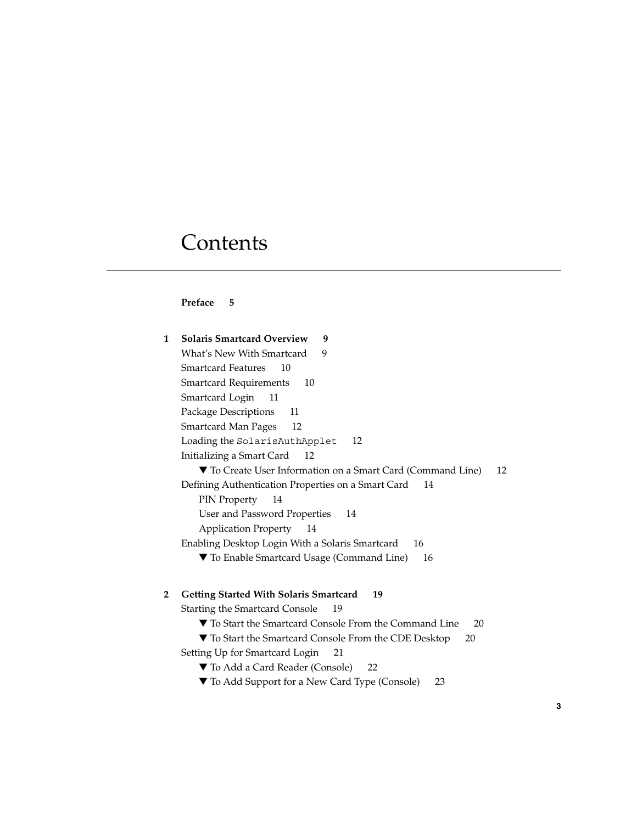# **Contents**

### **[Preface 5](#page-4-0)**

| 1 | <b>Solaris Smartcard Overview</b><br>9                                          |  |
|---|---------------------------------------------------------------------------------|--|
|   | What's New With Smartcard<br>9                                                  |  |
|   | <b>Smartcard Features</b><br>10                                                 |  |
|   | <b>Smartcard Requirements</b><br>10                                             |  |
|   | Smartcard Login<br>11                                                           |  |
|   | Package Descriptions<br>11                                                      |  |
|   | <b>Smartcard Man Pages</b><br>12                                                |  |
|   | Loading the SolarisAuthApplet<br>12                                             |  |
|   | Initializing a Smart Card<br>12                                                 |  |
|   | ▼ To Create User Information on a Smart Card (Command Line)<br>12               |  |
|   | Defining Authentication Properties on a Smart Card<br>14                        |  |
|   | PIN Property<br>14                                                              |  |
|   | User and Password Properties<br>14                                              |  |
|   | Application Property 14                                                         |  |
|   | Enabling Desktop Login With a Solaris Smartcard<br>16                           |  |
|   | $\blacktriangledown$ To Enable Smartcard Usage (Command Line)<br>16             |  |
|   |                                                                                 |  |
| 2 | <b>Getting Started With Solaris Smartcard</b><br>19                             |  |
|   | <b>Starting the Smartcard Console</b><br>19                                     |  |
|   | $\blacktriangledown$ To Start the Smartcard Console From the Command Line<br>20 |  |
|   | ▼ To Start the Smartcard Console From the CDE Desktop<br>20                     |  |
|   | Setting Up for Smartcard Login<br>21                                            |  |
|   | ▼ To Add a Card Reader (Console)<br>22                                          |  |
|   | ▼ To Add Support for a New Card Type (Console)<br>23                            |  |
|   |                                                                                 |  |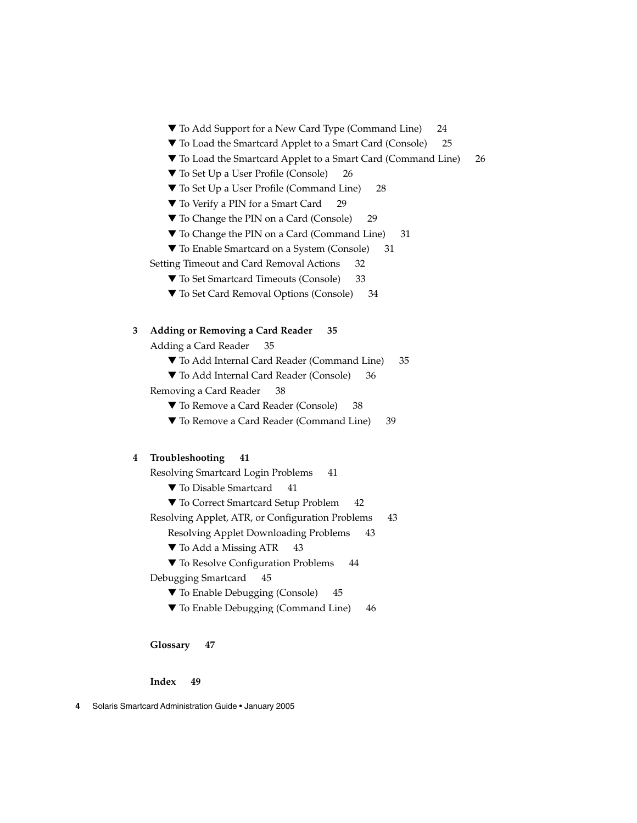- ▼ [To Add Support for a New Card Type \(Command Line\) 24](#page-23-0)
- ▼ [To Load the Smartcard Applet to a Smart Card \(Console\) 25](#page-24-0)
- ▼ [To Load the Smartcard Applet to a Smart Card \(Command Line\) 26](#page-25-0)
- ▼ [To Set Up a User Profile \(Console\) 26](#page-25-0)
- ▼ [To Set Up a User Profile \(Command Line\) 28](#page-27-0)
- ▼ [To Verify a PIN for a Smart Card 29](#page-28-0)
- ▼ [To Change the PIN on a Card \(Console\) 29](#page-28-0)
- ▼ [To Change the PIN on a Card \(Command Line\) 31](#page-30-0)
- ▼ [To Enable Smartcard on a System \(Console\) 31](#page-30-0)

[Setting Timeout and Card Removal Actions 32](#page-31-0)

- ▼ [To Set Smartcard Timeouts \(Console\) 33](#page-32-0)
- ▼ [To Set Card Removal Options \(Console\) 34](#page-33-0)

### **[3 Adding or Removing a Card Reader 35](#page-34-0)**

[Adding a Card Reader 35](#page-34-0)

- ▼ [To Add Internal Card Reader \(Command Line\) 35](#page-34-0)
- ▼ [To Add Internal Card Reader \(Console\) 36](#page-35-0)

[Removing a Card Reader 38](#page-37-0)

- ▼ [To Remove a Card Reader \(Console\) 38](#page-37-0)
- ▼ [To Remove a Card Reader \(Command Line\) 39](#page-38-0)

### **[4 Troubleshooting 41](#page-40-0)**

[Resolving Smartcard Login Problems 41](#page-40-0)

- ▼ [To Disable Smartcard 41](#page-40-0)
- ▼ [To Correct Smartcard Setup Problem 42](#page-41-0)
- [Resolving Applet, ATR, or Configuration Problems 43](#page-42-0)

[Resolving Applet Downloading Problems 43](#page-42-0)

- ▼ [To Add a Missing ATR 43](#page-42-0)
- ▼ [To Resolve Configuration Problems 44](#page-43-0)

[Debugging Smartcard 45](#page-44-0)

- ▼ [To Enable Debugging \(Console\) 45](#page-44-0)
- ▼ [To Enable Debugging \(Command Line\) 46](#page-45-0)

**[Glossary 47](#page-46-0)**

**[Index 49](#page-48-0)**

**4** Solaris Smartcard Administration Guide • January 2005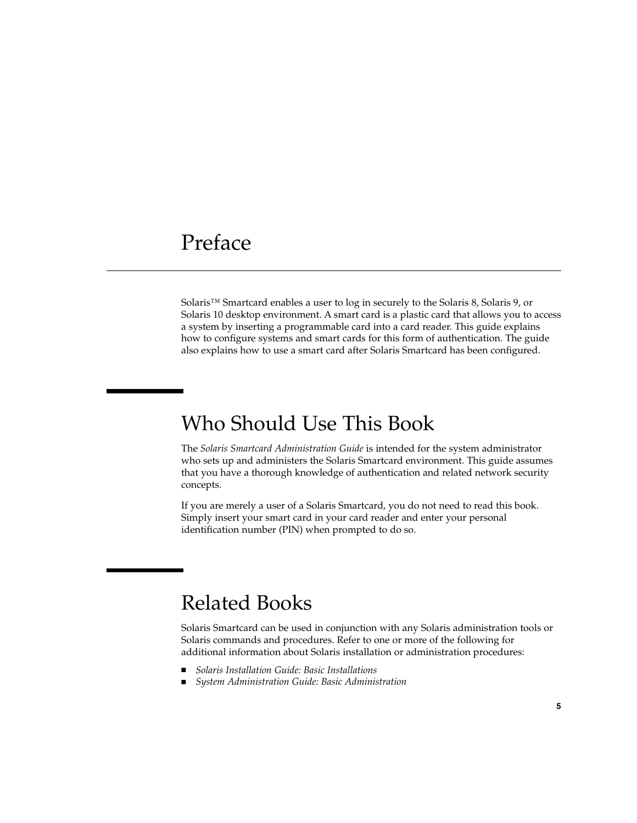# <span id="page-4-0"></span>Preface

Solaris™ Smartcard enables a user to log in securely to the Solaris 8, Solaris 9, or Solaris 10 desktop environment. A smart card is a plastic card that allows you to access a system by inserting a programmable card into a card reader. This guide explains how to configure systems and smart cards for this form of authentication. The guide also explains how to use a smart card after Solaris Smartcard has been configured.

# Who Should Use This Book

The *Solaris Smartcard Administration Guide* is intended for the system administrator who sets up and administers the Solaris Smartcard environment. This guide assumes that you have a thorough knowledge of authentication and related network security concepts.

If you are merely a user of a Solaris Smartcard, you do not need to read this book. Simply insert your smart card in your card reader and enter your personal identification number (PIN) when prompted to do so.

# Related Books

Solaris Smartcard can be used in conjunction with any Solaris administration tools or Solaris commands and procedures. Refer to one or more of the following for additional information about Solaris installation or administration procedures:

- $Solaris$  Installation Guide: Basic Installations
- *System Administration Guide: Basic Administration*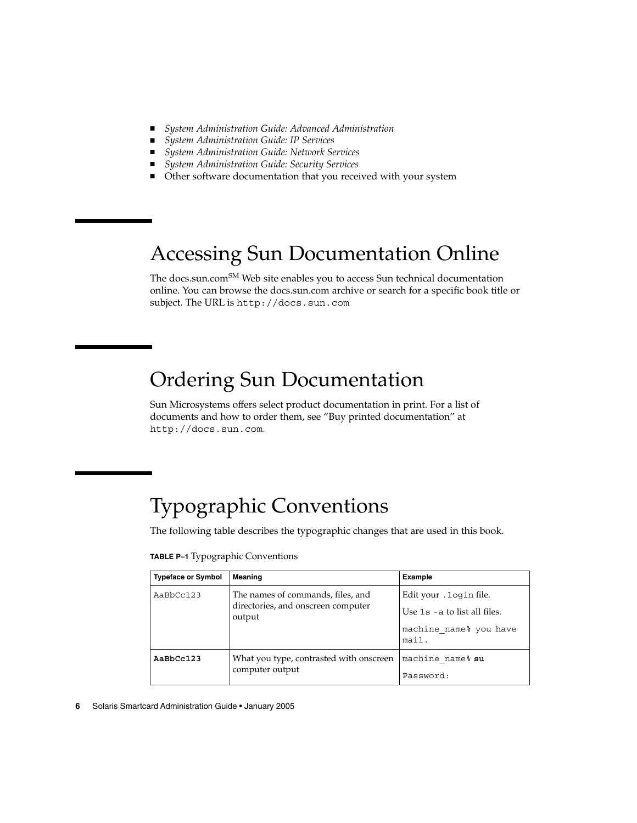- *System Administration Guide: Advanced Administration*
- *System Administration Guide: IP Services*
- *System Administration Guide: Network Services*
- *System Administration Guide: Security Services*
- Other software documentation that you received with your system

# Accessing Sun Documentation Online

The docs.sun.com<sup>SM</sup> Web site enables you to access Sun technical documentation online. You can browse the docs.sun.com archive or search for a specific book title or subject. The URL is <http://docs.sun.com>.

# Ordering Sun Documentation

Sun Microsystems offers select product documentation in print. For a list of documents and how to order them, see "Buy printed documentation" at <http://docs.sun.com>.

# Typographic Conventions

The following table describes the typographic changes that are used in this book.

| TABLE P-1 Typographic Conventions |  |  |  |
|-----------------------------------|--|--|--|
|-----------------------------------|--|--|--|

| <b>Typeface or Symbol</b> | Meaning                                                                           | <b>Example</b>                  |
|---------------------------|-----------------------------------------------------------------------------------|---------------------------------|
| AaBbCc123                 | The names of commands, files, and<br>directories, and onscreen computer<br>output | Edit your . login file.         |
|                           |                                                                                   | Use $1s$ - a to list all files. |
|                           |                                                                                   | machine name% you have<br>mail. |
| AaBbCc123                 | What you type, contrasted with onscreen<br>computer output                        | machine name% su                |
|                           |                                                                                   | Password:                       |

**6** Solaris Smartcard Administration Guide • January 2005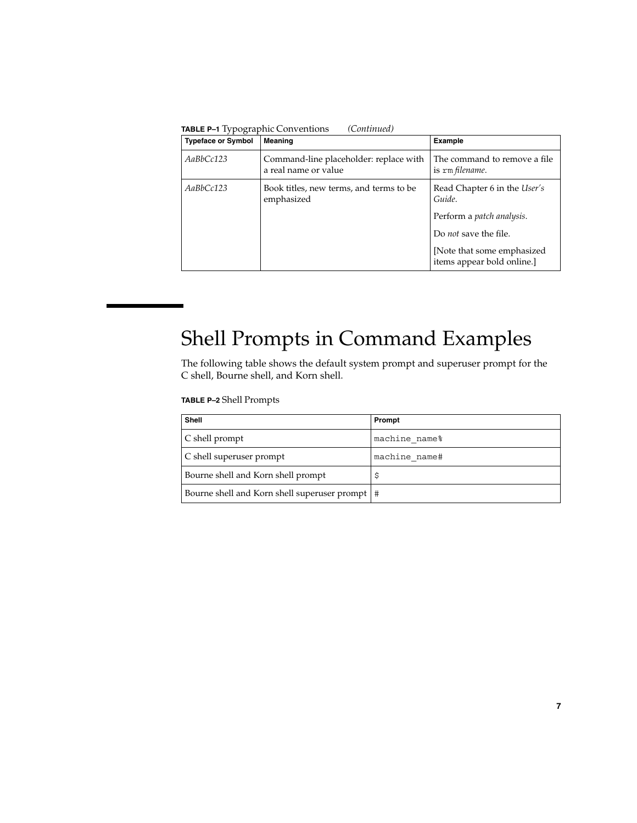| <b>Typeface or Symbol</b> | Meaning                                                        | <b>Example</b>                                            |
|---------------------------|----------------------------------------------------------------|-----------------------------------------------------------|
| AaBbCc123                 | Command-line placeholder: replace with<br>a real name or value | The command to remove a file<br>is rm filename.           |
| AaBbCc123                 | Book titles, new terms, and terms to be<br>emphasized          | Read Chapter 6 in the User's<br>Guide.                    |
|                           |                                                                | Perform a <i>patch analysis</i> .                         |
|                           |                                                                | Do <i>not</i> save the file.                              |
|                           |                                                                | [Note that some emphasized]<br>items appear bold online.] |

### **TABLE P–1** Typographic Conventions *(Continued)*

# Shell Prompts in Command Examples

The following table shows the default system prompt and superuser prompt for the C shell, Bourne shell, and Korn shell.

### **TABLE P–2** Shell Prompts

| <b>Shell</b>                                     | Prompt        |
|--------------------------------------------------|---------------|
| C shell prompt                                   | machine name% |
| C shell superuser prompt                         | machine name# |
| Bourne shell and Korn shell prompt               | Ş             |
| Bourne shell and Korn shell superuser prompt   # |               |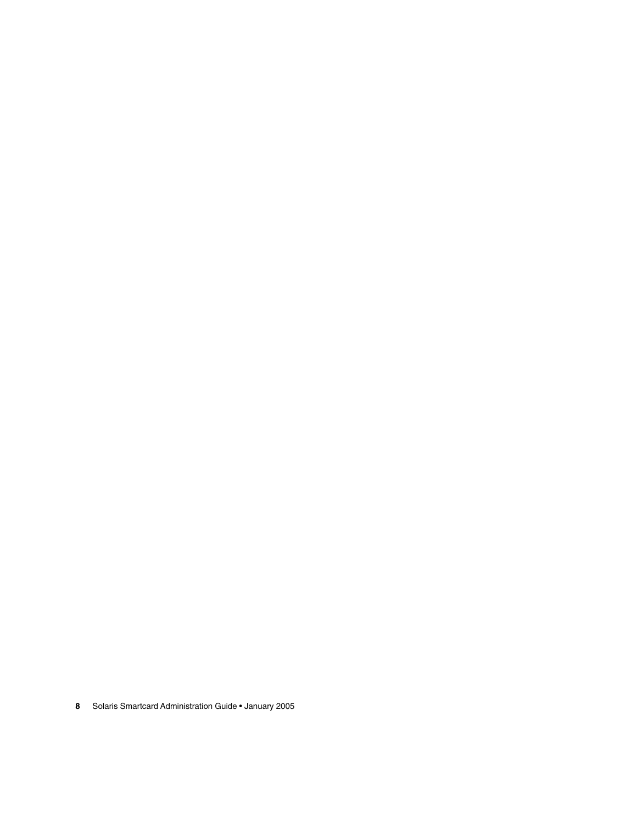Solaris Smartcard Administration Guide • January 2005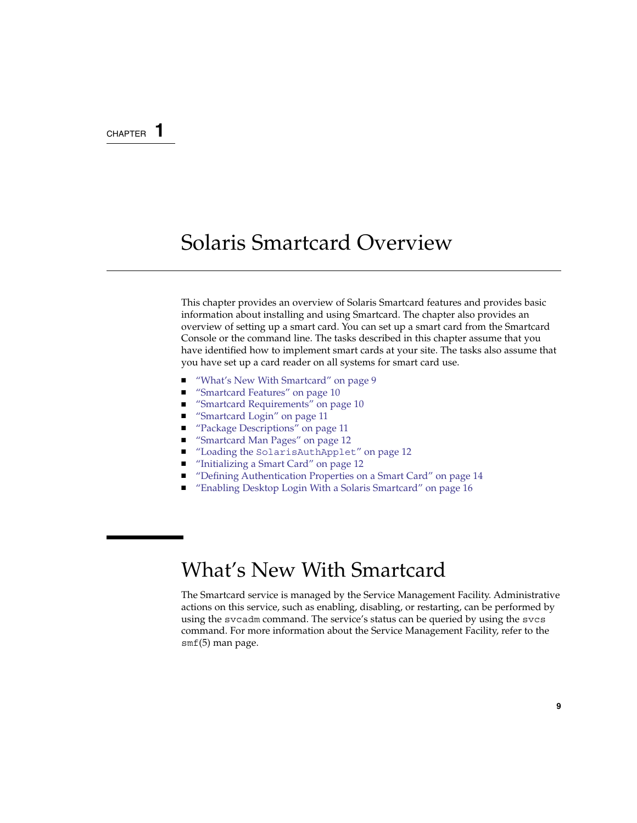### <span id="page-8-0"></span>CHAPTER **1**

# Solaris Smartcard Overview

This chapter provides an overview of Solaris Smartcard features and provides basic information about installing and using Smartcard. The chapter also provides an overview of setting up a smart card. You can set up a smart card from the Smartcard Console or the command line. The tasks described in this chapter assume that you have identified how to implement smart cards at your site. The tasks also assume that you have set up a card reader on all systems for smart card use.

- *"What's New With Smartcard"* on page 9
- ["Smartcard Features"](#page-9-0) on page 10
- ["Smartcard Requirements"](#page-9-0) on page 10
- ["Smartcard Login"](#page-10-0) on page 11
- ["Package Descriptions"](#page-10-0) on page 11
- ["Smartcard Man Pages"](#page-11-0) on page 12
- "Loading the [SolarisAuthApplet](#page-11-0)" on page 12
- ["Initializing a Smart Card"](#page-11-0) on page 12
- ["Defining Authentication Properties on a Smart Card"](#page-13-0) on page 14
- ["Enabling Desktop Login With a Solaris Smartcard"](#page-15-0) on page 16

# What's New With Smartcard

The Smartcard service is managed by the Service Management Facility. Administrative actions on this service, such as enabling, disabling, or restarting, can be performed by using the svcadm command. The service's status can be queried by using the svcs command. For more information about the Service Management Facility, refer to the smf(5) man page.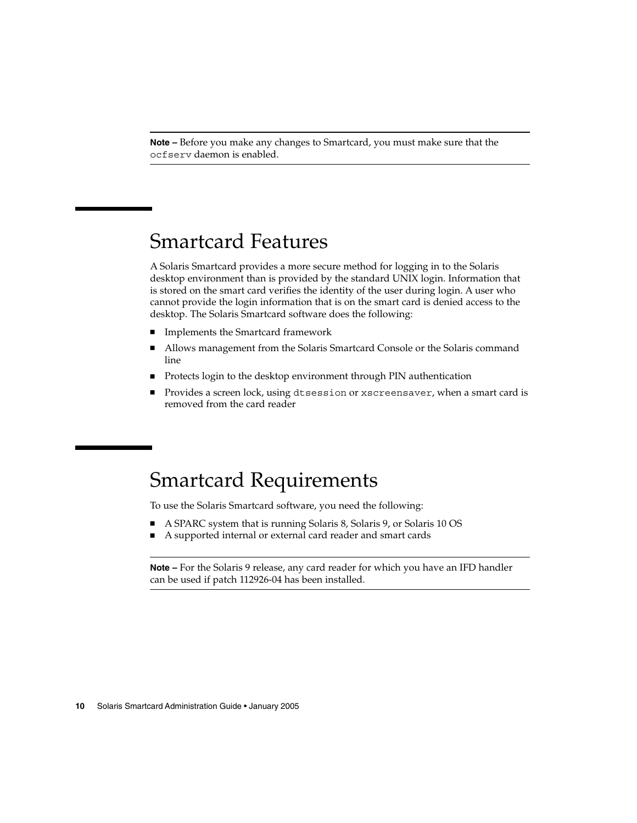<span id="page-9-0"></span>**Note –** Before you make any changes to Smartcard, you must make sure that the ocfserv daemon is enabled.

# Smartcard Features

A Solaris Smartcard provides a more secure method for logging in to the Solaris desktop environment than is provided by the standard UNIX login. Information that is stored on the smart card verifies the identity of the user during login. A user who cannot provide the login information that is on the smart card is denied access to the desktop. The Solaris Smartcard software does the following:

- Implements the Smartcard framework
- Allows management from the Solaris Smartcard Console or the Solaris command line
- Protects login to the desktop environment through PIN authentication
- Provides a screen lock, using dtsession or xscreensaver, when a smart card is removed from the card reader

# Smartcard Requirements

To use the Solaris Smartcard software, you need the following:

- A SPARC system that is running Solaris 8, Solaris 9, or Solaris 10 OS
- A supported internal or external card reader and smart cards

**Note –** For the Solaris 9 release, any card reader for which you have an IFD handler can be used if patch 112926-04 has been installed.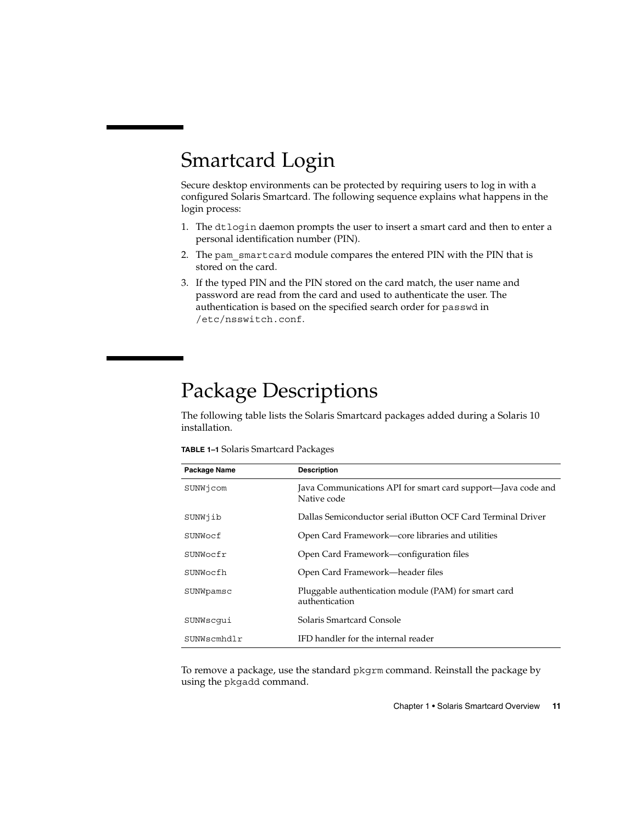# <span id="page-10-0"></span>Smartcard Login

Secure desktop environments can be protected by requiring users to log in with a configured Solaris Smartcard. The following sequence explains what happens in the login process:

- 1. The dtlogin daemon prompts the user to insert a smart card and then to enter a personal identification number (PIN).
- 2. The pam smartcard module compares the entered PIN with the PIN that is stored on the card.
- 3. If the typed PIN and the PIN stored on the card match, the user name and password are read from the card and used to authenticate the user. The authentication is based on the specified search order for passwd in /etc/nsswitch.conf.

# Package Descriptions

The following table lists the Solaris Smartcard packages added during a Solaris 10 installation.

| <b>TABLE 1–1</b> Solaris Smartcard Packages |  |
|---------------------------------------------|--|
|---------------------------------------------|--|

| Package Name | <b>Description</b>                                                          |
|--------------|-----------------------------------------------------------------------------|
| SUNWicom     | Java Communications API for smart card support—Java code and<br>Native code |
| SUNWiib      | Dallas Semiconductor serial iButton OCF Card Terminal Driver                |
| SUNWocf      | Open Card Framework—core libraries and utilities                            |
| SUNWocfr     | Open Card Framework—configuration files                                     |
| SUNWocfh     | Open Card Framework—header files                                            |
| SUNWpamsc    | Pluggable authentication module (PAM) for smart card<br>authentication      |
| SUNWscqui    | Solaris Smartcard Console                                                   |
| SUNWscmhdlr  | IFD handler for the internal reader                                         |

To remove a package, use the standard pkgrm command. Reinstall the package by using the pkgadd command.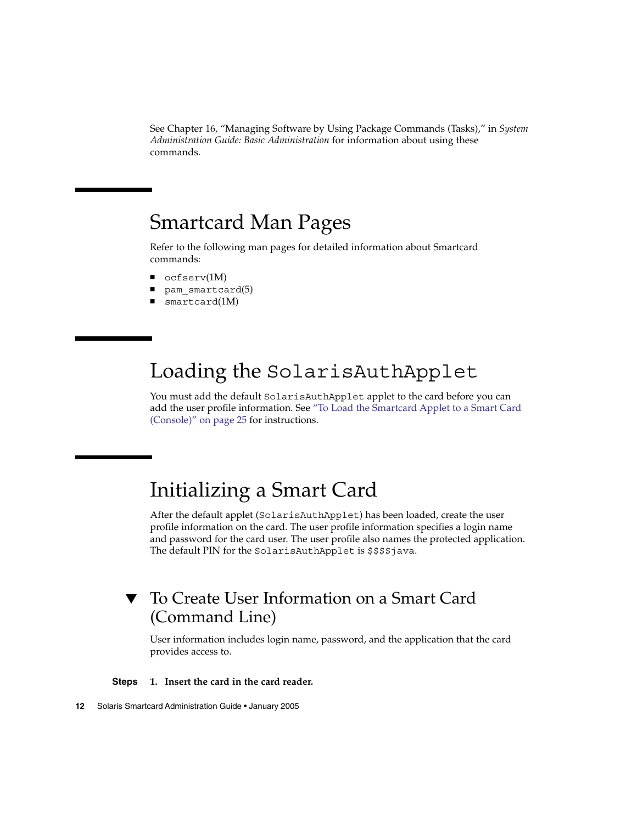<span id="page-11-0"></span>See Chapter 16, "Managing Software by Using Package Commands (Tasks)," in *System Administration Guide: Basic Administration* for information about using these commands.

# Smartcard Man Pages

Refer to the following man pages for detailed information about Smartcard commands:

- ocfserv(1M)
- pam smartcard(5)
- $smartcard(M)$

# Loading the SolarisAuthApplet

You must add the default SolarisAuthApplet applet to the card before you can add the user profile information. See ["To Load the Smartcard Applet to a Smart Card](#page-24-0) (Console)" [on page 25](#page-24-0) for instructions.

# Initializing a Smart Card

After the default applet (SolarisAuthApplet) has been loaded, create the user profile information on the card. The user profile information specifies a login name and password for the card user. The user profile also names the protected application. The default PIN for the SolarisAuthApplet is \$\$\$\$java.

## ▼ To Create User Information on a Smart Card (Command Line)

User information includes login name, password, and the application that the card provides access to.

#### **Steps 1. Insert the card in the card reader.**

**12** Solaris Smartcard Administration Guide • January 2005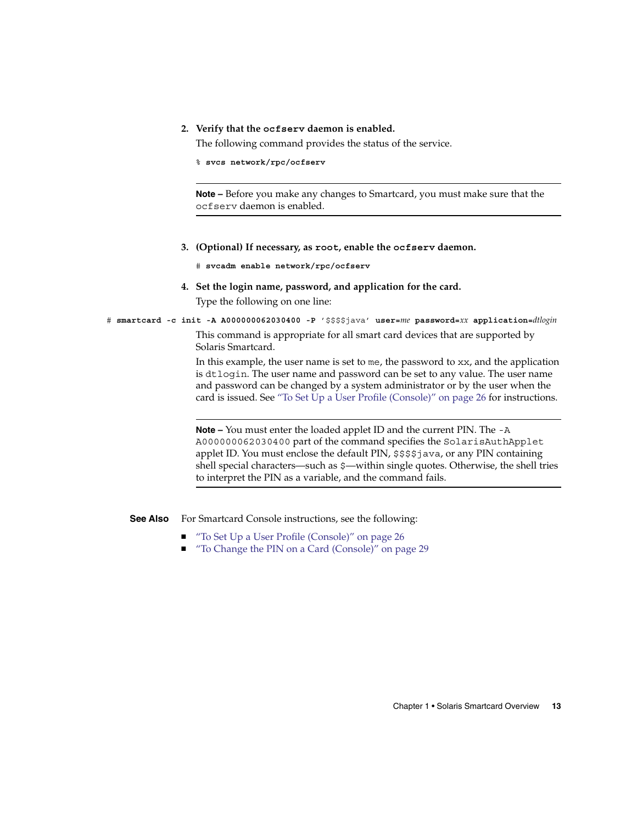**2. Verify that the ocfserv daemon is enabled.**

The following command provides the status of the service.

```
% svcs network/rpc/ocfserv
```
**Note –** Before you make any changes to Smartcard, you must make sure that the ocfserv daemon is enabled.

- **3. (Optional) If necessary, as root, enable the ocfserv daemon.**
	- # **svcadm enable network/rpc/ocfserv**
- **4. Set the login name, password, and application for the card.**

Type the following on one line:

```
# smartcard -c init -A A000000062030400 -P '$$$$java' user=me password=xx application=dtlogin
                   This command is appropriate for all smart card devices that are supported by
                   Solaris Smartcard.
```
In this example, the user name is set to me, the password to xx, and the application is dtlogin. The user name and password can be set to any value. The user name and password can be changed by a system administrator or by the user when the card is issued. See ["To Set Up a User Profile \(Console\)"](#page-25-0) on page 26 for instructions.

**Note –** You must enter the loaded applet ID and the current PIN. The -A A000000062030400 part of the command specifies the SolarisAuthApplet applet ID. You must enclose the default PIN, \$\$\$\$java, or any PIN containing shell special characters—such as \$—within single quotes. Otherwise, the shell tries to interpret the PIN as a variable, and the command fails.

For Smartcard Console instructions, see the following: **See Also**

- ["To Set Up a User Profile \(Console\)"](#page-25-0) on page 26
- ["To Change the PIN on a Card \(Console\)"](#page-28-0) on page 29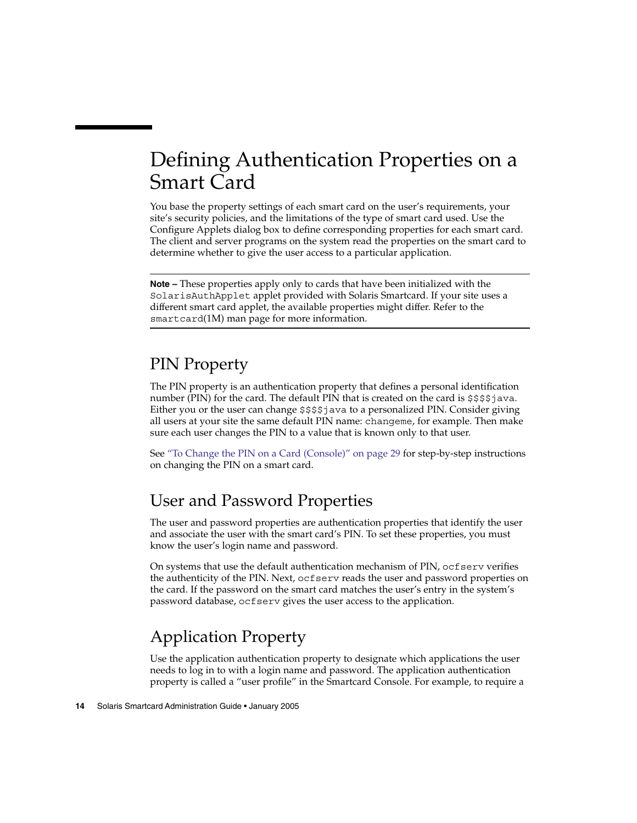# <span id="page-13-0"></span>Defining Authentication Properties on a Smart Card

You base the property settings of each smart card on the user's requirements, your site's security policies, and the limitations of the type of smart card used. Use the Configure Applets dialog box to define corresponding properties for each smart card. The client and server programs on the system read the properties on the smart card to determine whether to give the user access to a particular application.

**Note –** These properties apply only to cards that have been initialized with the SolarisAuthApplet applet provided with Solaris Smartcard. If your site uses a different smart card applet, the available properties might differ. Refer to the smartcard(1M) man page for more information.

## PIN Property

The PIN property is an authentication property that defines a personal identification number (PIN) for the card. The default PIN that is created on the card is  $$$ \$\$\$java. Either you or the user can change \$\$\$\$java to a personalized PIN. Consider giving all users at your site the same default PIN name: changeme, for example. Then make sure each user changes the PIN to a value that is known only to that user.

See ["To Change the PIN on a Card \(Console\)"](#page-28-0) on page 29 for step-by-step instructions on changing the PIN on a smart card.

## User and Password Properties

The user and password properties are authentication properties that identify the user and associate the user with the smart card's PIN. To set these properties, you must know the user's login name and password.

On systems that use the default authentication mechanism of PIN, ocfserv verifies the authenticity of the PIN. Next, ocfserv reads the user and password properties on the card. If the password on the smart card matches the user's entry in the system's password database, ocfserv gives the user access to the application.

## Application Property

Use the application authentication property to designate which applications the user needs to log in to with a login name and password. The application authentication property is called a "user profile" in the Smartcard Console. For example, to require a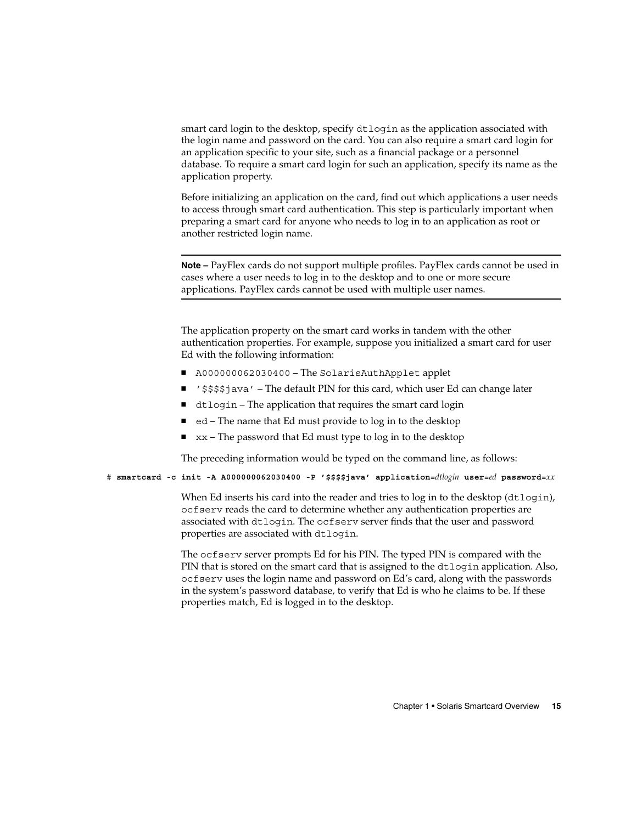<span id="page-14-0"></span>smart card login to the desktop, specify dtlogin as the application associated with the login name and password on the card. You can also require a smart card login for an application specific to your site, such as a financial package or a personnel database. To require a smart card login for such an application, specify its name as the application property.

Before initializing an application on the card, find out which applications a user needs to access through smart card authentication. This step is particularly important when preparing a smart card for anyone who needs to log in to an application as root or another restricted login name.

**Note –** PayFlex cards do not support multiple profiles. PayFlex cards cannot be used in cases where a user needs to log in to the desktop and to one or more secure applications. PayFlex cards cannot be used with multiple user names.

The application property on the smart card works in tandem with the other authentication properties. For example, suppose you initialized a smart card for user Ed with the following information:

- A000000062030400 The SolarisAuthApplet applet
- '\$\$\$\$java' The default PIN for this card, which user Ed can change later
- dtlogin The application that requires the smart card login
- ed The name that Ed must provide to log in to the desktop
- $xx$  The password that Ed must type to log in to the desktop

The preceding information would be typed on the command line, as follows:

```
# smartcard -c init -A A000000062030400 -P '$$$$java' application=dtlogin user=ed password=xx
```
When Ed inserts his card into the reader and tries to log in to the desktop (dtlogin), ocfserv reads the card to determine whether any authentication properties are associated with dtlogin. The ocfserv server finds that the user and password properties are associated with dtlogin.

The ocfserv server prompts Ed for his PIN. The typed PIN is compared with the PIN that is stored on the smart card that is assigned to the dtlogin application. Also, ocfserv uses the login name and password on Ed's card, along with the passwords in the system's password database, to verify that Ed is who he claims to be. If these properties match, Ed is logged in to the desktop.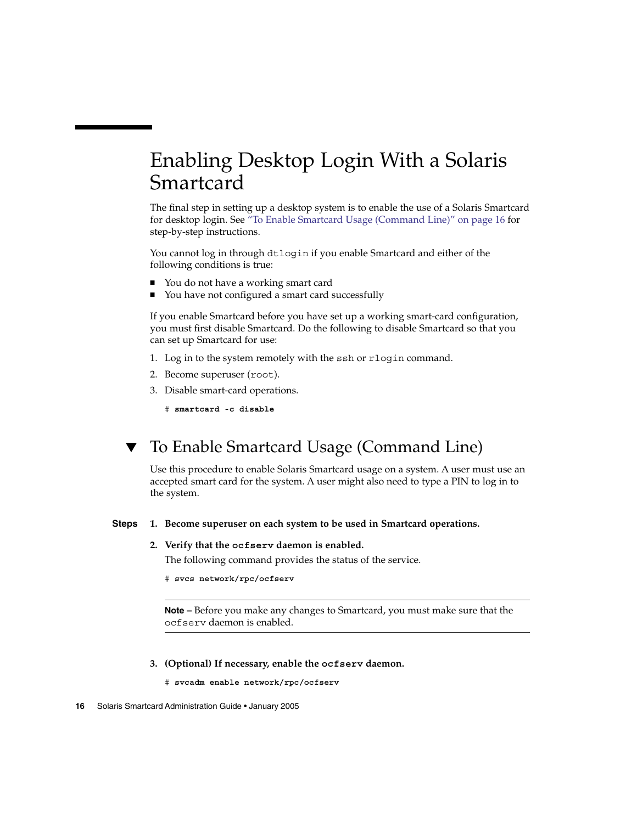# <span id="page-15-0"></span>Enabling Desktop Login With a Solaris Smartcard

The final step in setting up a desktop system is to enable the use of a Solaris Smartcard for desktop login. See "To Enable Smartcard Usage (Command Line)" on page 16 for step-by-step instructions.

You cannot log in through dtlogin if you enable Smartcard and either of the following conditions is true:

- You do not have a working smart card
- You have not configured a smart card successfully

If you enable Smartcard before you have set up a working smart-card configuration, you must first disable Smartcard. Do the following to disable Smartcard so that you can set up Smartcard for use:

- 1. Log in to the system remotely with the ssh or rlogin command.
- 2. Become superuser (root).
- 3. Disable smart-card operations.
	- # **smartcard -c disable**

## ▼ To Enable Smartcard Usage (Command Line)

Use this procedure to enable Solaris Smartcard usage on a system. A user must use an accepted smart card for the system. A user might also need to type a PIN to log in to the system.

#### **1. Become superuser on each system to be used in Smartcard operations. Steps**

#### **2. Verify that the ocfserv daemon is enabled.**

The following command provides the status of the service.

# **svcs network/rpc/ocfserv**

**Note –** Before you make any changes to Smartcard, you must make sure that the ocfserv daemon is enabled.

### **3. (Optional) If necessary, enable the ocfserv daemon.**

- # **svcadm enable network/rpc/ocfserv**
- **16** Solaris Smartcard Administration Guide January 2005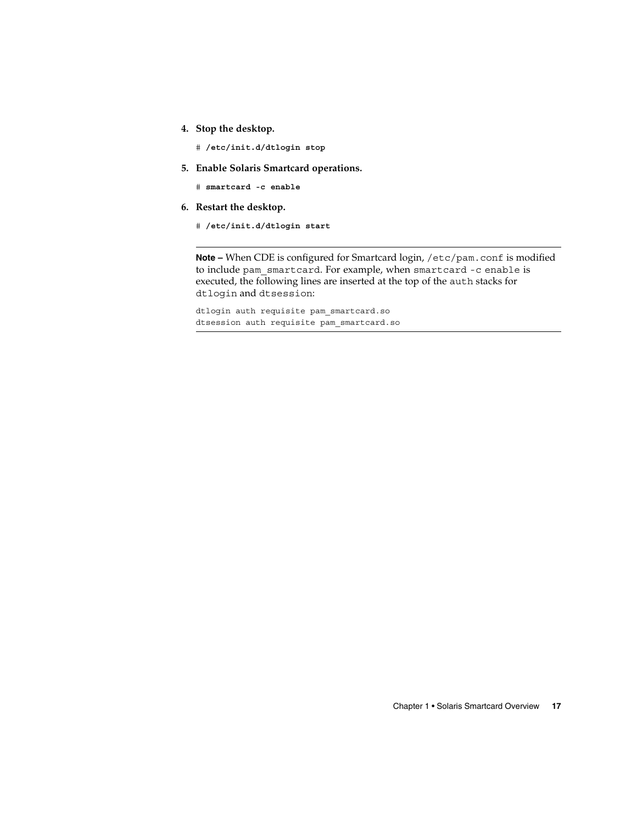<span id="page-16-0"></span>**4. Stop the desktop.**

# **/etc/init.d/dtlogin stop**

**5. Enable Solaris Smartcard operations.**

# **smartcard -c enable**

- **6. Restart the desktop.**
	- # **/etc/init.d/dtlogin start**

**Note –** When CDE is configured for Smartcard login, /etc/pam.conf is modified to include pam\_smartcard. For example, when smartcard -c enable is executed, the following lines are inserted at the top of the auth stacks for dtlogin and dtsession:

dtlogin auth requisite pam\_smartcard.so dtsession auth requisite pam\_smartcard.so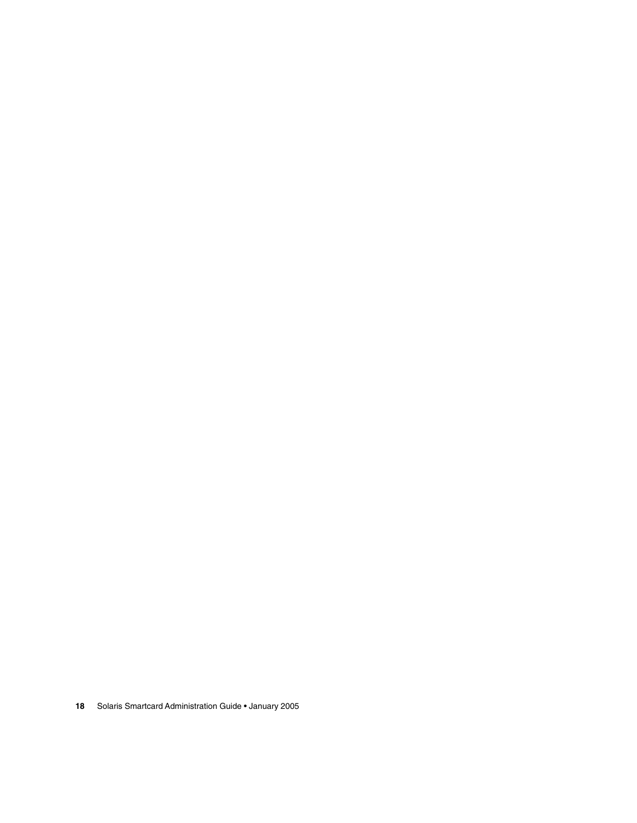Solaris Smartcard Administration Guide • January 2005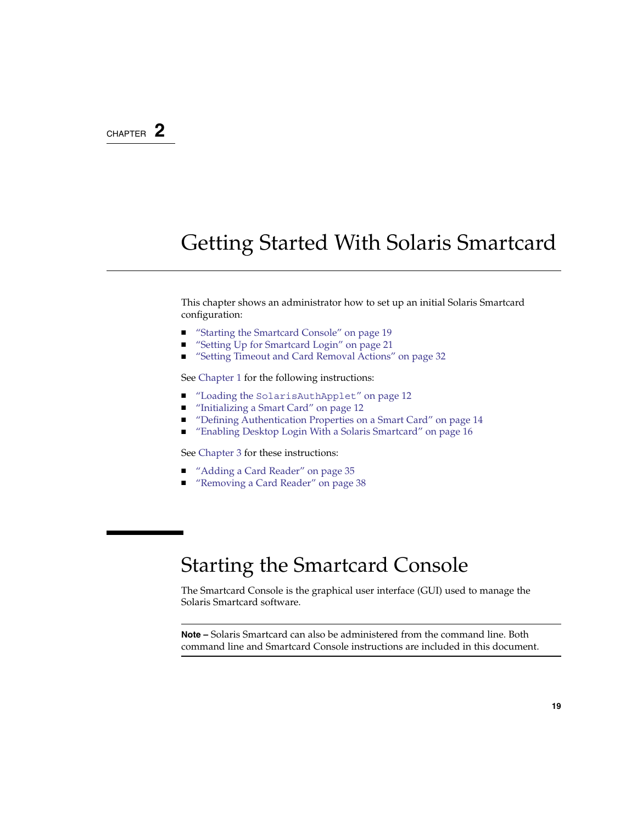### <span id="page-18-0"></span>CHAPTER **2**

# Getting Started With Solaris Smartcard

This chapter shows an administrator how to set up an initial Solaris Smartcard configuration:

- "Starting the Smartcard Console" on page 19
- ["Setting Up for Smartcard Login"](#page-20-0) on page 21
- ["Setting Timeout and Card Removal Actions"](#page-31-0) on page 32

See [Chapter 1](#page-8-0) for the following instructions:

- "Loading the [SolarisAuthApplet](#page-11-0)" on page 12
- ["Initializing a Smart Card"](#page-11-0) on page 12
- ["Defining Authentication Properties on a Smart Card"](#page-13-0) on page 14
- ["Enabling Desktop Login With a Solaris Smartcard"](#page-15-0) on page 16

See [Chapter 3](#page-34-0) for these instructions:

- ["Adding a Card Reader"](#page-34-0) on page 35
- *["Removing a Card Reader"](#page-37-0)* on page 38

# Starting the Smartcard Console

The Smartcard Console is the graphical user interface (GUI) used to manage the Solaris Smartcard software.

**Note –** Solaris Smartcard can also be administered from the command line. Both command line and Smartcard Console instructions are included in this document.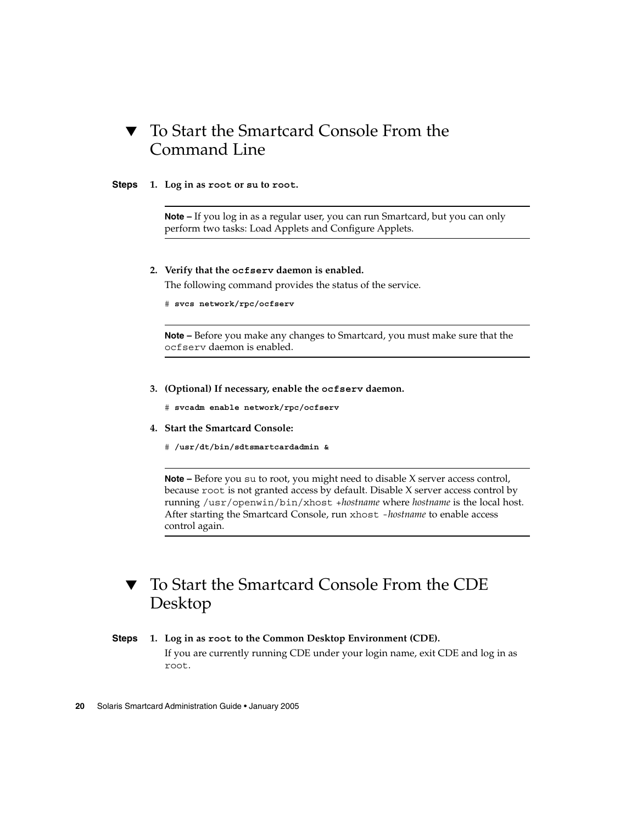## <span id="page-19-0"></span>▼ To Start the Smartcard Console From the Command Line

#### **1. Log in as root or su to root. Steps**

**Note –** If you log in as a regular user, you can run Smartcard, but you can only perform two tasks: Load Applets and Configure Applets.

#### **2. Verify that the ocfserv daemon is enabled.**

The following command provides the status of the service.

```
# svcs network/rpc/ocfserv
```
**Note –** Before you make any changes to Smartcard, you must make sure that the ocfserv daemon is enabled.

- **3. (Optional) If necessary, enable the ocfserv daemon.**
	- # **svcadm enable network/rpc/ocfserv**
- **4. Start the Smartcard Console:**
	- # **/usr/dt/bin/sdtsmartcardadmin &**

**Note –** Before you su to root, you might need to disable X server access control, because root is not granted access by default. Disable X server access control by running /usr/openwin/bin/xhost +*hostname* where *hostname* is the local host. After starting the Smartcard Console, run xhost -*hostname* to enable access control again.

## To Start the Smartcard Console From the CDE Desktop

#### **1. Log in as root to the Common Desktop Environment (CDE). Steps**

If you are currently running CDE under your login name, exit CDE and log in as root.

**20** Solaris Smartcard Administration Guide • January 2005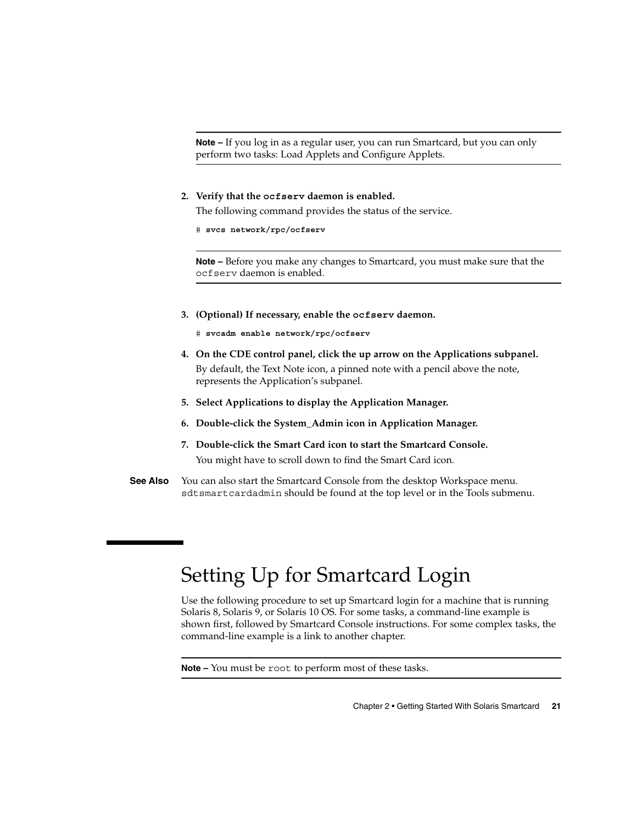<span id="page-20-0"></span>**Note –** If you log in as a regular user, you can run Smartcard, but you can only perform two tasks: Load Applets and Configure Applets.

#### **2. Verify that the ocfserv daemon is enabled.**

The following command provides the status of the service.

```
# svcs network/rpc/ocfserv
```
**Note –** Before you make any changes to Smartcard, you must make sure that the ocfserv daemon is enabled.

#### **3. (Optional) If necessary, enable the ocfserv daemon.**

# **svcadm enable network/rpc/ocfserv**

- **4. On the CDE control panel, click the up arrow on the Applications subpanel.** By default, the Text Note icon, a pinned note with a pencil above the note, represents the Application's subpanel.
- **5. Select Applications to display the Application Manager.**
- **6. Double-click the System\_Admin icon in Application Manager.**
- **7. Double-click the Smart Card icon to start the Smartcard Console.** You might have to scroll down to find the Smart Card icon.
- You can also start the Smartcard Console from the desktop Workspace menu. sdtsmartcardadmin should be found at the top level or in the Tools submenu. **See Also**

# Setting Up for Smartcard Login

Use the following procedure to set up Smartcard login for a machine that is running Solaris 8, Solaris 9, or Solaris 10 OS. For some tasks, a command-line example is shown first, followed by Smartcard Console instructions. For some complex tasks, the command-line example is a link to another chapter.

**Note –** You must be root to perform most of these tasks.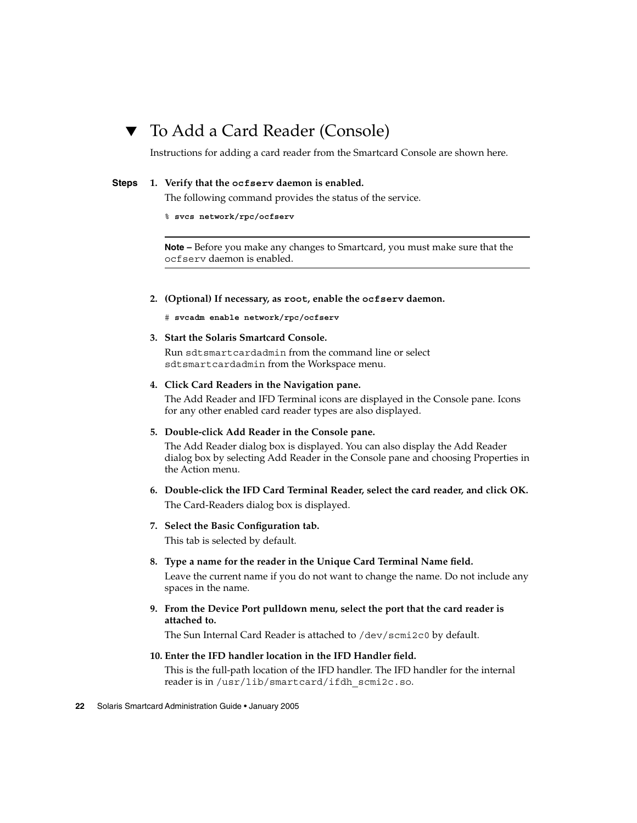## <span id="page-21-0"></span>▼ To Add a Card Reader (Console)

Instructions for adding a card reader from the Smartcard Console are shown here.

#### **1. Verify that the ocfserv daemon is enabled. Steps**

The following command provides the status of the service.

% **svcs network/rpc/ocfserv**

**Note –** Before you make any changes to Smartcard, you must make sure that the ocfserv daemon is enabled.

- **2. (Optional) If necessary, as root, enable the ocfserv daemon.**
	- # **svcadm enable network/rpc/ocfserv**
- **3. Start the Solaris Smartcard Console.**

Run sdtsmartcardadmin from the command line or select sdtsmartcardadmin from the Workspace menu.

**4. Click Card Readers in the Navigation pane.**

The Add Reader and IFD Terminal icons are displayed in the Console pane. Icons for any other enabled card reader types are also displayed.

#### **5. Double-click Add Reader in the Console pane.**

The Add Reader dialog box is displayed. You can also display the Add Reader dialog box by selecting Add Reader in the Console pane and choosing Properties in the Action menu.

**6. Double-click the IFD Card Terminal Reader, select the card reader, and click OK.** The Card-Readers dialog box is displayed.

#### **7. Select the Basic Configuration tab.**

This tab is selected by default.

#### **8. Type a name for the reader in the Unique Card Terminal Name field.**

Leave the current name if you do not want to change the name. Do not include any spaces in the name.

**9. From the Device Port pulldown menu, select the port that the card reader is attached to.**

The Sun Internal Card Reader is attached to /dev/scmi2c0 by default.

#### **10. Enter the IFD handler location in the IFD Handler field.**

This is the full-path location of the IFD handler. The IFD handler for the internal reader is in /usr/lib/smartcard/ifdh\_scmi2c.so.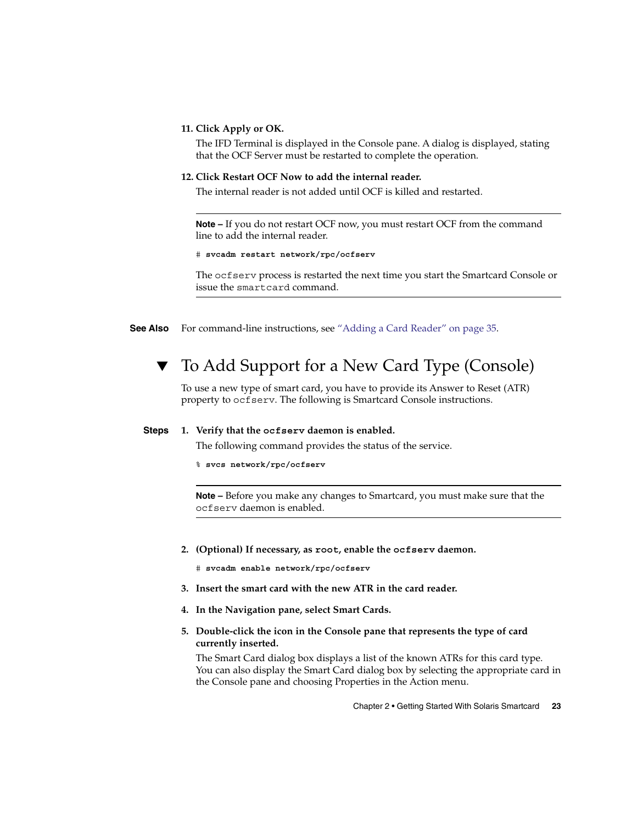#### <span id="page-22-0"></span>**11. Click Apply or OK.**

The IFD Terminal is displayed in the Console pane. A dialog is displayed, stating that the OCF Server must be restarted to complete the operation.

### **12. Click Restart OCF Now to add the internal reader.**

The internal reader is not added until OCF is killed and restarted.

**Note –** If you do not restart OCF now, you must restart OCF from the command line to add the internal reader.

```
# svcadm restart network/rpc/ocfserv
```
The ocfserv process is restarted the next time you start the Smartcard Console or issue the smartcard command.

For command-line instructions, see ["Adding a Card Reader"](#page-34-0) on page 35. **See Also**

## ▼ To Add Support for a New Card Type (Console)

To use a new type of smart card, you have to provide its Answer to Reset (ATR) property to ocfserv. The following is Smartcard Console instructions.

#### **1. Verify that the ocfserv daemon is enabled. Steps**

The following command provides the status of the service.

% **svcs network/rpc/ocfserv**

**Note –** Before you make any changes to Smartcard, you must make sure that the ocfserv daemon is enabled.

**2. (Optional) If necessary, as root, enable the ocfserv daemon.**

# **svcadm enable network/rpc/ocfserv**

- **3. Insert the smart card with the new ATR in the card reader.**
- **4. In the Navigation pane, select Smart Cards.**
- **5. Double-click the icon in the Console pane that represents the type of card currently inserted.**

The Smart Card dialog box displays a list of the known ATRs for this card type. You can also display the Smart Card dialog box by selecting the appropriate card in the Console pane and choosing Properties in the Action menu.

Chapter 2 • Getting Started With Solaris Smartcard **23**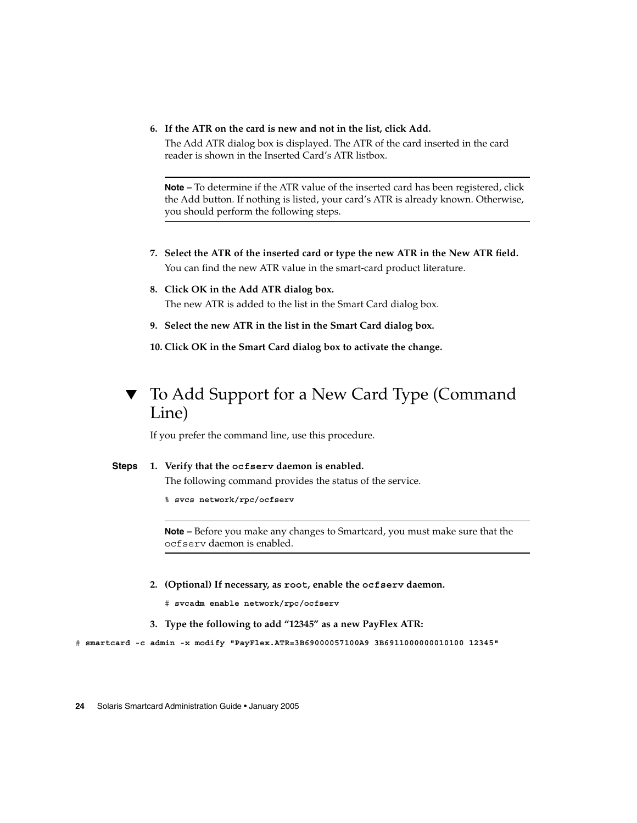<span id="page-23-0"></span>**6. If the ATR on the card is new and not in the list, click Add.**

The Add ATR dialog box is displayed. The ATR of the card inserted in the card reader is shown in the Inserted Card's ATR listbox.

**Note –** To determine if the ATR value of the inserted card has been registered, click the Add button. If nothing is listed, your card's ATR is already known. Otherwise, you should perform the following steps.

- **7. Select the ATR of the inserted card or type the new ATR in the New ATR field.** You can find the new ATR value in the smart-card product literature.
- **8. Click OK in the Add ATR dialog box.** The new ATR is added to the list in the Smart Card dialog box.
- **9. Select the new ATR in the list in the Smart Card dialog box.**

**10. Click OK in the Smart Card dialog box to activate the change.**

## ▼ To Add Support for a New Card Type (Command Line)

If you prefer the command line, use this procedure.

#### **1. Verify that the ocfserv daemon is enabled. Steps**

The following command provides the status of the service.

% **svcs network/rpc/ocfserv**

**Note –** Before you make any changes to Smartcard, you must make sure that the ocfserv daemon is enabled.

- **2. (Optional) If necessary, as root, enable the ocfserv daemon.**
	- # **svcadm enable network/rpc/ocfserv**
- **3. Type the following to add "12345" as a new PayFlex ATR:**

# **smartcard -c admin -x modify "PayFlex.ATR=3B69000057100A9 3B6911000000010100 12345"**

**24** Solaris Smartcard Administration Guide • January 2005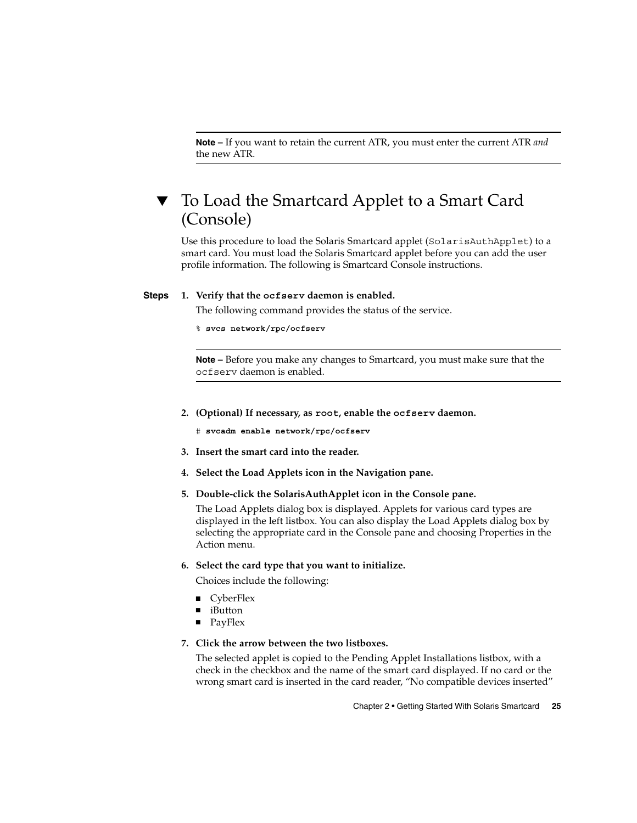<span id="page-24-0"></span>**Note –** If you want to retain the current ATR, you must enter the current ATR *and* the new ATR.

## To Load the Smartcard Applet to a Smart Card (Console)

Use this procedure to load the Solaris Smartcard applet (SolarisAuthApplet) to a smart card. You must load the Solaris Smartcard applet before you can add the user profile information. The following is Smartcard Console instructions.

#### **1. Verify that the ocfserv daemon is enabled. Steps**

The following command provides the status of the service.

% **svcs network/rpc/ocfserv**

**Note –** Before you make any changes to Smartcard, you must make sure that the ocfserv daemon is enabled.

**2. (Optional) If necessary, as root, enable the ocfserv daemon.**

# **svcadm enable network/rpc/ocfserv**

- **3. Insert the smart card into the reader.**
- **4. Select the Load Applets icon in the Navigation pane.**
- **5. Double-click the SolarisAuthApplet icon in the Console pane.**

The Load Applets dialog box is displayed. Applets for various card types are displayed in the left listbox. You can also display the Load Applets dialog box by selecting the appropriate card in the Console pane and choosing Properties in the Action menu.

**6. Select the card type that you want to initialize.**

Choices include the following:

- CyberFlex
- iButton
- PayFlex
- **7. Click the arrow between the two listboxes.**

The selected applet is copied to the Pending Applet Installations listbox, with a check in the checkbox and the name of the smart card displayed. If no card or the wrong smart card is inserted in the card reader, "No compatible devices inserted"

Chapter 2 • Getting Started With Solaris Smartcard **25**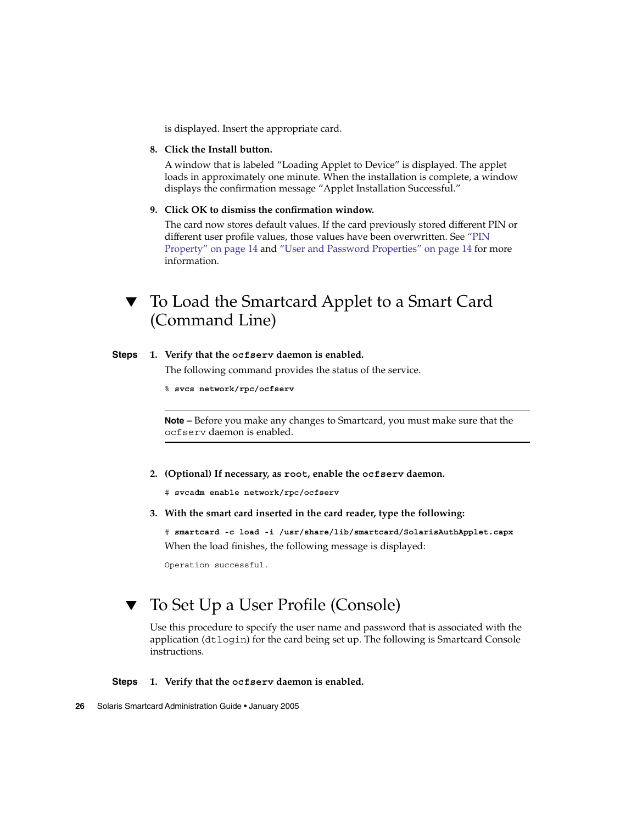<span id="page-25-0"></span>is displayed. Insert the appropriate card.

#### **8. Click the Install button.**

A window that is labeled "Loading Applet to Device" is displayed. The applet loads in approximately one minute. When the installation is complete, a window displays the confirmation message "Applet Installation Successful."

#### **9. Click OK to dismiss the confirmation window.**

The card now stores default values. If the card previously stored different PIN or different user profile values, those values have been overwritten. See ["PIN](#page-13-0) Property" [on page 14](#page-13-0) and ["User and Password Properties"](#page-13-0) on page 14 for more information.

### ▼ To Load the Smartcard Applet to a Smart Card (Command Line)

#### **1. Verify that the ocfserv daemon is enabled. Steps**

The following command provides the status of the service.

% **svcs network/rpc/ocfserv**

**Note –** Before you make any changes to Smartcard, you must make sure that the ocfserv daemon is enabled.

- **2. (Optional) If necessary, as root, enable the ocfserv daemon.**
	- # **svcadm enable network/rpc/ocfserv**
- **3. With the smart card inserted in the card reader, type the following:**

# **smartcard -c load -i /usr/share/lib/smartcard/SolarisAuthApplet.capx** When the load finishes, the following message is displayed:

Operation successful.

## ▼ To Set Up a User Profile (Console)

Use this procedure to specify the user name and password that is associated with the application (dtlogin) for the card being set up. The following is Smartcard Console instructions.

#### **1. Verify that the ocfserv daemon is enabled. Steps**

**<sup>26</sup>** Solaris Smartcard Administration Guide • January 2005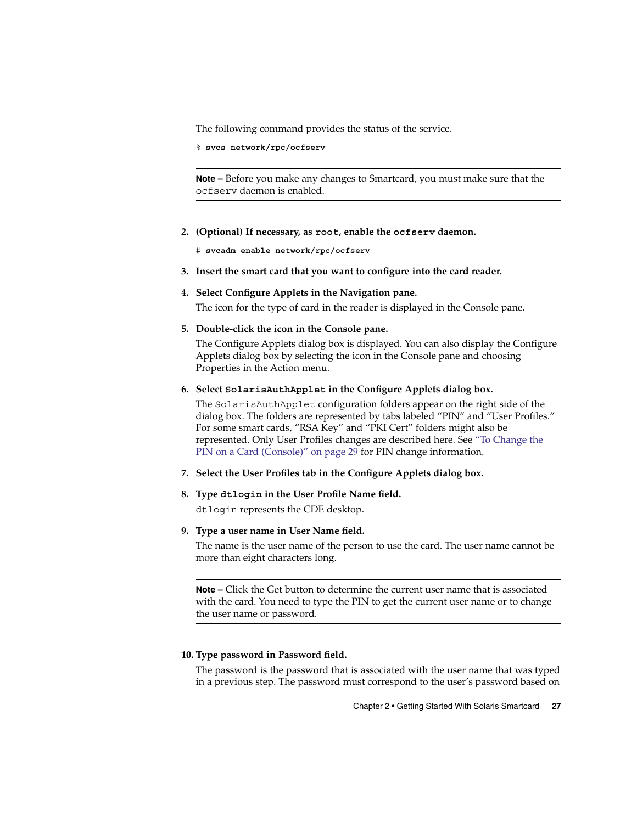<span id="page-26-0"></span>The following command provides the status of the service.

% **svcs network/rpc/ocfserv**

**Note –** Before you make any changes to Smartcard, you must make sure that the ocfserv daemon is enabled.

**2. (Optional) If necessary, as root, enable the ocfserv daemon.**

# **svcadm enable network/rpc/ocfserv**

- **3. Insert the smart card that you want to configure into the card reader.**
- **4. Select Configure Applets in the Navigation pane.**

The icon for the type of card in the reader is displayed in the Console pane.

**5. Double-click the icon in the Console pane.**

The Configure Applets dialog box is displayed. You can also display the Configure Applets dialog box by selecting the icon in the Console pane and choosing Properties in the Action menu.

**6. Select SolarisAuthApplet in the Configure Applets dialog box.**

The SolarisAuthApplet configuration folders appear on the right side of the dialog box. The folders are represented by tabs labeled "PIN" and "User Profiles." For some smart cards, "RSA Key" and "PKI Cert" folders might also be represented. Only User Profiles changes are described here. See ["To Change the](#page-28-0) [PIN on a Card \(Console\)"](#page-28-0) on page 29 for PIN change information.

- **7. Select the User Profiles tab in the Configure Applets dialog box.**
- **8. Type dtlogin in the User Profile Name field.**

dtlogin represents the CDE desktop.

#### **9. Type a user name in User Name field.**

The name is the user name of the person to use the card. The user name cannot be more than eight characters long.

**Note –** Click the Get button to determine the current user name that is associated with the card. You need to type the PIN to get the current user name or to change the user name or password.

#### **10. Type password in Password field.**

The password is the password that is associated with the user name that was typed in a previous step. The password must correspond to the user's password based on

Chapter 2 • Getting Started With Solaris Smartcard **27**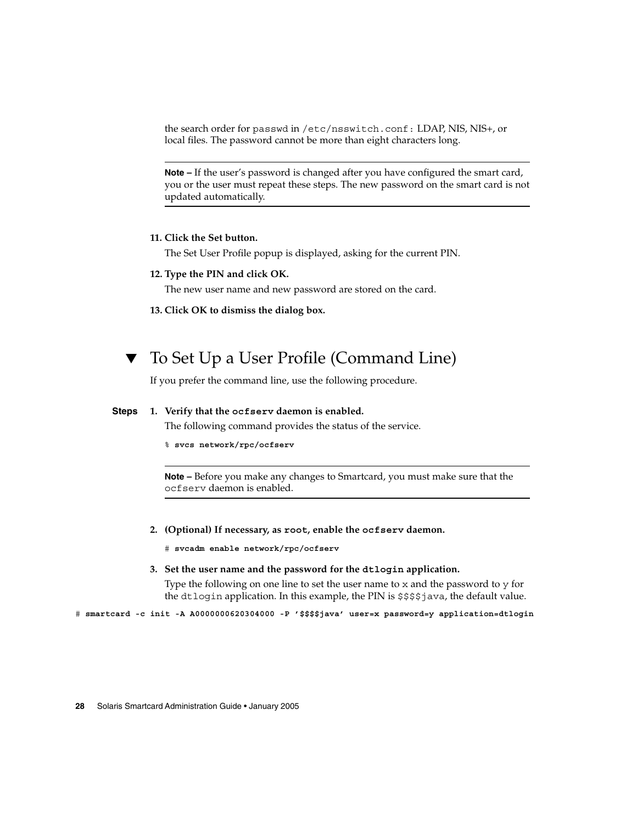<span id="page-27-0"></span>the search order for passwd in /etc/nsswitch.conf: LDAP, NIS, NIS+, or local files. The password cannot be more than eight characters long.

**Note –** If the user's password is changed after you have configured the smart card, you or the user must repeat these steps. The new password on the smart card is not updated automatically.

#### **11. Click the Set button.**

The Set User Profile popup is displayed, asking for the current PIN.

#### **12. Type the PIN and click OK.**

The new user name and new password are stored on the card.

**13. Click OK to dismiss the dialog box.**

## ▼ To Set Up a User Profile (Command Line)

If you prefer the command line, use the following procedure.

#### **1. Verify that the ocfserv daemon is enabled. Steps**

The following command provides the status of the service.

% **svcs network/rpc/ocfserv**

**Note –** Before you make any changes to Smartcard, you must make sure that the ocfserv daemon is enabled.

- **2. (Optional) If necessary, as root, enable the ocfserv daemon.**
	- # **svcadm enable network/rpc/ocfserv**
- **3. Set the user name and the password for the dtlogin application.**

Type the following on one line to set the user name to  $x$  and the password to  $y$  for the dtlogin application. In this example, the PIN is \$\$\$\$java, the default value.

# **smartcard -c init -A A0000000620304000 -P '\$\$\$\$java' user=x password=y application=dtlogin**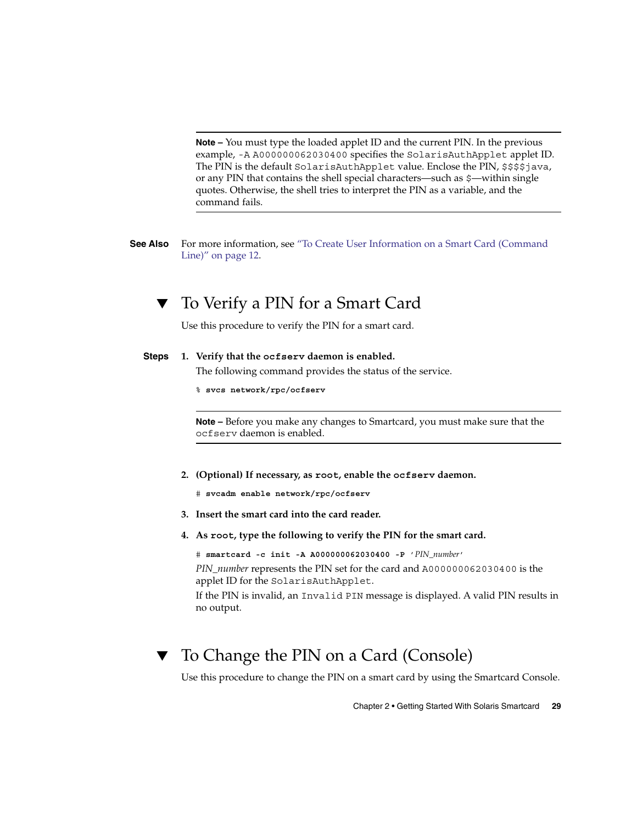<span id="page-28-0"></span>**Note –** You must type the loaded applet ID and the current PIN. In the previous example, -A A000000062030400 specifies the SolarisAuthApplet applet ID. The PIN is the default SolarisAuthApplet value. Enclose the PIN, \$\$\$\$java, or any PIN that contains the shell special characters—such as \$—within single quotes. Otherwise, the shell tries to interpret the PIN as a variable, and the command fails.

For more information, see ["To Create User Information on a Smart Card \(Command](#page-11-0) Line)" [on page 12.](#page-11-0) **See Also**

### To Verify a PIN for a Smart Card

Use this procedure to verify the PIN for a smart card.

#### **1. Verify that the ocfserv daemon is enabled. Steps**

The following command provides the status of the service.

% **svcs network/rpc/ocfserv**

**Note –** Before you make any changes to Smartcard, you must make sure that the ocfserv daemon is enabled.

- **2. (Optional) If necessary, as root, enable the ocfserv daemon.**
	- # **svcadm enable network/rpc/ocfserv**
- **3. Insert the smart card into the card reader.**
- **4. As root, type the following to verify the PIN for the smart card.**

# **smartcard -c init -A A000000062030400 -P** '*PIN\_number*'

*PIN\_number* represents the PIN set for the card and A000000062030400 is the applet ID for the SolarisAuthApplet.

If the PIN is invalid, an Invalid PIN message is displayed. A valid PIN results in no output.

## To Change the PIN on a Card (Console)

Use this procedure to change the PIN on a smart card by using the Smartcard Console.

Chapter 2 • Getting Started With Solaris Smartcard **29**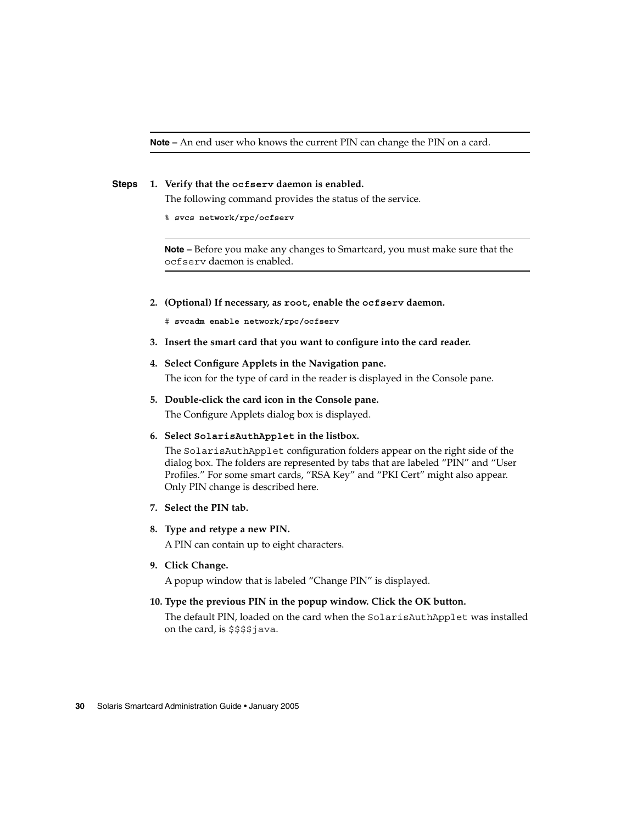<span id="page-29-0"></span>**Note –** An end user who knows the current PIN can change the PIN on a card.

#### **1. Verify that the ocfserv daemon is enabled. Steps**

The following command provides the status of the service.

% **svcs network/rpc/ocfserv**

**Note –** Before you make any changes to Smartcard, you must make sure that the ocfserv daemon is enabled.

- **2. (Optional) If necessary, as root, enable the ocfserv daemon.**
	- # **svcadm enable network/rpc/ocfserv**
- **3. Insert the smart card that you want to configure into the card reader.**
- **4. Select Configure Applets in the Navigation pane.**

The icon for the type of card in the reader is displayed in the Console pane.

#### **5. Double-click the card icon in the Console pane.**

The Configure Applets dialog box is displayed.

#### **6. Select SolarisAuthApplet in the listbox.**

The SolarisAuthApplet configuration folders appear on the right side of the dialog box. The folders are represented by tabs that are labeled "PIN" and "User Profiles." For some smart cards, "RSA Key" and "PKI Cert" might also appear. Only PIN change is described here.

- **7. Select the PIN tab.**
- **8. Type and retype a new PIN.**

A PIN can contain up to eight characters.

**9. Click Change.**

A popup window that is labeled "Change PIN" is displayed.

**10. Type the previous PIN in the popup window. Click the OK button.**

The default PIN, loaded on the card when the SolarisAuthApplet was installed on the card, is \$\$\$\$java.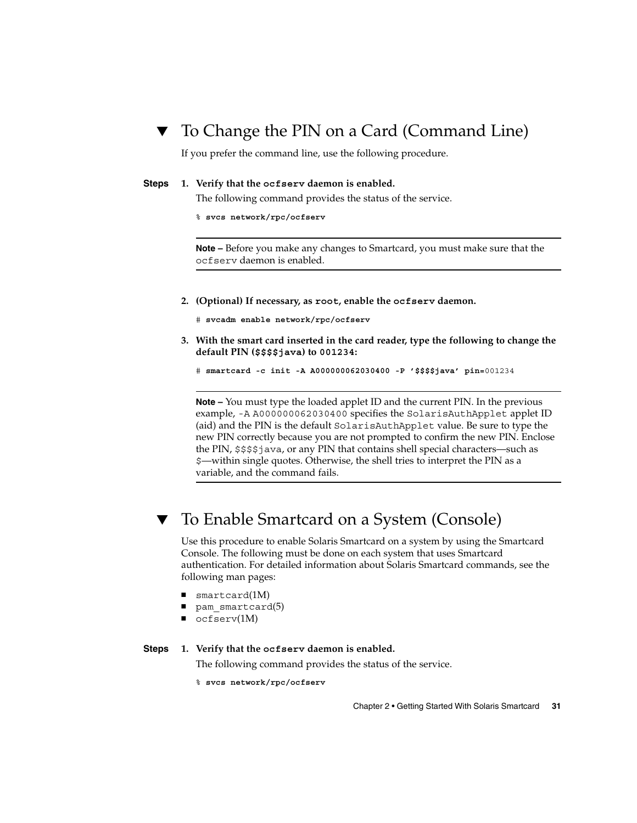## <span id="page-30-0"></span>▼ To Change the PIN on a Card (Command Line)

If you prefer the command line, use the following procedure.

#### **1. Verify that the ocfserv daemon is enabled. Steps**

The following command provides the status of the service.

```
% svcs network/rpc/ocfserv
```
**Note –** Before you make any changes to Smartcard, you must make sure that the ocfserv daemon is enabled.

**2. (Optional) If necessary, as root, enable the ocfserv daemon.**

```
# svcadm enable network/rpc/ocfserv
```
**3. With the smart card inserted in the card reader, type the following to change the default PIN (\$\$\$\$java) to 001234:**

```
# smartcard -c init -A A000000062030400 -P '$$$$java' pin=001234
```
**Note –** You must type the loaded applet ID and the current PIN. In the previous example, -A A000000062030400 specifies the SolarisAuthApplet applet ID (aid) and the PIN is the default SolarisAuthApplet value. Be sure to type the new PIN correctly because you are not prompted to confirm the new PIN. Enclose the PIN, \$\$\$\$java, or any PIN that contains shell special characters—such as \$—within single quotes. Otherwise, the shell tries to interpret the PIN as a variable, and the command fails.

## To Enable Smartcard on a System (Console)

Use this procedure to enable Solaris Smartcard on a system by using the Smartcard Console. The following must be done on each system that uses Smartcard authentication. For detailed information about Solaris Smartcard commands, see the following man pages:

- $\blacksquare$  smartcard(1M)
- pam smartcard(5)
- ocfserv(1M)

#### **1. Verify that the ocfserv daemon is enabled. Steps**

The following command provides the status of the service.

% **svcs network/rpc/ocfserv**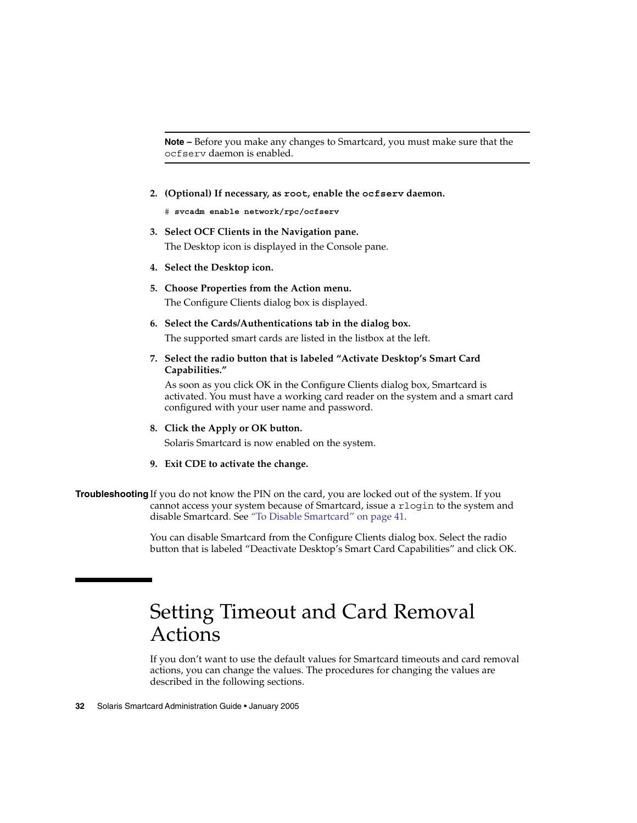<span id="page-31-0"></span>**Note –** Before you make any changes to Smartcard, you must make sure that the ocfserv daemon is enabled.

- **2. (Optional) If necessary, as root, enable the ocfserv daemon.**
	- # **svcadm enable network/rpc/ocfserv**
- **3. Select OCF Clients in the Navigation pane.** The Desktop icon is displayed in the Console pane.
- **4. Select the Desktop icon.**
- **5. Choose Properties from the Action menu.**
	- The Configure Clients dialog box is displayed.
- **6. Select the Cards/Authentications tab in the dialog box.**

The supported smart cards are listed in the listbox at the left.

**7. Select the radio button that is labeled "Activate Desktop's Smart Card Capabilities."**

As soon as you click OK in the Configure Clients dialog box, Smartcard is activated. You must have a working card reader on the system and a smart card configured with your user name and password.

### **8. Click the Apply or OK button.**

Solaris Smartcard is now enabled on the system.

**9. Exit CDE to activate the change.**

You can disable Smartcard from the Configure Clients dialog box. Select the radio button that is labeled "Deactivate Desktop's Smart Card Capabilities" and click OK.

# Setting Timeout and Card Removal Actions

If you don't want to use the default values for Smartcard timeouts and card removal actions, you can change the values. The procedures for changing the values are described in the following sections.

**Troubleshooting** If you do not know the PIN on the card, you are locked out of the system. If you cannot access your system because of Smartcard, issue a rlogin to the system and disable Smartcard. See ["To Disable Smartcard"](#page-40-0) on page 41.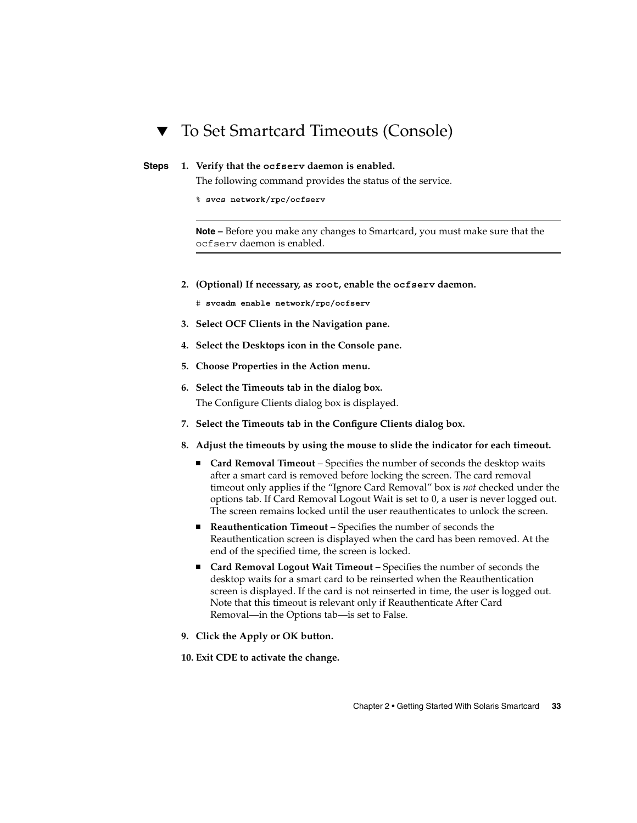## <span id="page-32-0"></span>▼ To Set Smartcard Timeouts (Console)

#### **1. Verify that the ocfserv daemon is enabled. Steps**

The following command provides the status of the service.

% **svcs network/rpc/ocfserv**

**Note –** Before you make any changes to Smartcard, you must make sure that the ocfserv daemon is enabled.

- **2. (Optional) If necessary, as root, enable the ocfserv daemon.**
	- # **svcadm enable network/rpc/ocfserv**
- **3. Select OCF Clients in the Navigation pane.**
- **4. Select the Desktops icon in the Console pane.**
- **5. Choose Properties in the Action menu.**
- **6. Select the Timeouts tab in the dialog box.** The Configure Clients dialog box is displayed.
- **7. Select the Timeouts tab in the Configure Clients dialog box.**
- **8. Adjust the timeouts by using the mouse to slide the indicator for each timeout.**
	- **Card Removal Timeout** Specifies the number of seconds the desktop waits after a smart card is removed before locking the screen. The card removal timeout only applies if the "Ignore Card Removal" box is *not* checked under the options tab. If Card Removal Logout Wait is set to 0, a user is never logged out. The screen remains locked until the user reauthenticates to unlock the screen.
	- **Reauthentication Timeout** Specifies the number of seconds the Reauthentication screen is displayed when the card has been removed. At the end of the specified time, the screen is locked.
	- **Card Removal Logout Wait Timeout** Specifies the number of seconds the desktop waits for a smart card to be reinserted when the Reauthentication screen is displayed. If the card is not reinserted in time, the user is logged out. Note that this timeout is relevant only if Reauthenticate After Card Removal—in the Options tab—is set to False.
- **9. Click the Apply or OK button.**

**10. Exit CDE to activate the change.**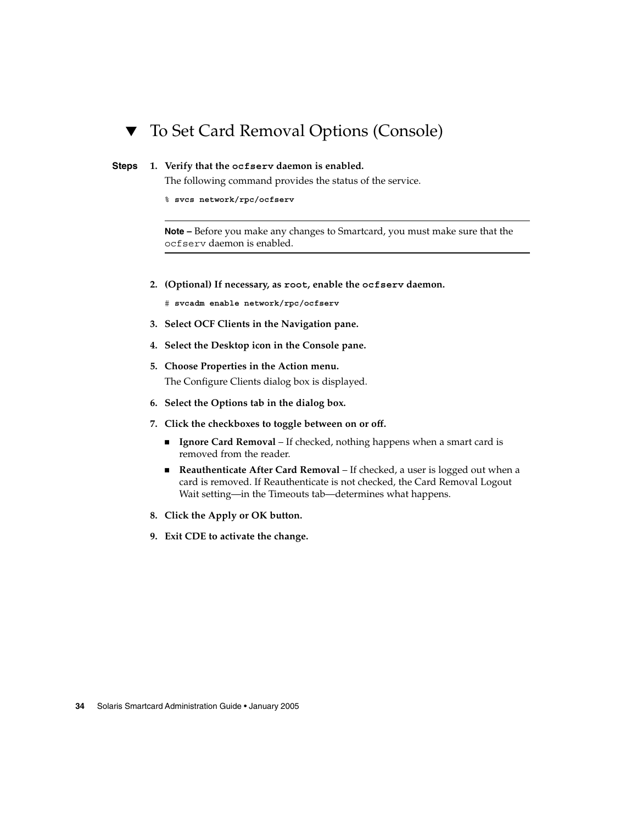## <span id="page-33-0"></span>▼ To Set Card Removal Options (Console)

#### **1. Verify that the ocfserv daemon is enabled. Steps**

The following command provides the status of the service.

% **svcs network/rpc/ocfserv**

**Note –** Before you make any changes to Smartcard, you must make sure that the ocfserv daemon is enabled.

- **2. (Optional) If necessary, as root, enable the ocfserv daemon.**
	- # **svcadm enable network/rpc/ocfserv**
- **3. Select OCF Clients in the Navigation pane.**
- **4. Select the Desktop icon in the Console pane.**
- **5. Choose Properties in the Action menu.**

The Configure Clients dialog box is displayed.

- **6. Select the Options tab in the dialog box.**
- **7. Click the checkboxes to toggle between on or off.**
	- **Ignore Card Removal** If checked, nothing happens when a smart card is removed from the reader.
	- **Reauthenticate After Card Removal** If checked, a user is logged out when a card is removed. If Reauthenticate is not checked, the Card Removal Logout Wait setting—in the Timeouts tab—determines what happens.
- **8. Click the Apply or OK button.**
- **9. Exit CDE to activate the change.**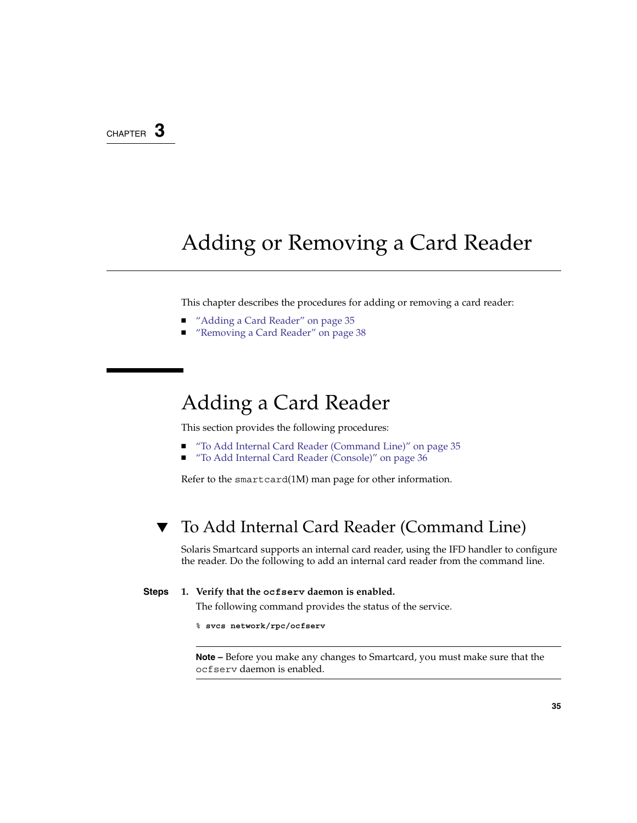### <span id="page-34-0"></span>CHAPTER **3**

# Adding or Removing a Card Reader

This chapter describes the procedures for adding or removing a card reader:

- "Adding a Card Reader" on page 35
- ["Removing a Card Reader"](#page-37-0) on page 38

# Adding a Card Reader

This section provides the following procedures:

- "To Add Internal Card Reader (Command Line)" on page 35
- ["To Add Internal Card Reader \(Console\)"](#page-35-0) on page 36

Refer to the smartcard(1M) man page for other information.

## To Add Internal Card Reader (Command Line)

Solaris Smartcard supports an internal card reader, using the IFD handler to configure the reader. Do the following to add an internal card reader from the command line.

#### **1. Verify that the ocfserv daemon is enabled. Steps**

The following command provides the status of the service.

% **svcs network/rpc/ocfserv**

**Note –** Before you make any changes to Smartcard, you must make sure that the ocfserv daemon is enabled.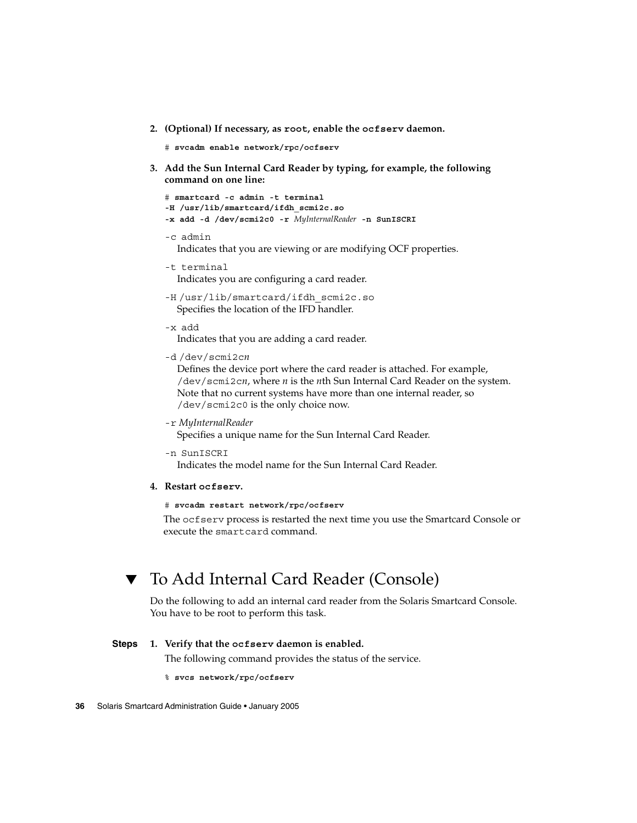<span id="page-35-0"></span>**2. (Optional) If necessary, as root, enable the ocfserv daemon.**

```
# svcadm enable network/rpc/ocfserv
```
**3. Add the Sun Internal Card Reader by typing, for example, the following command on one line:**

```
# smartcard -c admin -t terminal
-H /usr/lib/smartcard/ifdh_scmi2c.so
-x add -d /dev/scmi2c0 -r MyInternalReader -n SunISCRI
```
-c admin

Indicates that you are viewing or are modifying OCF properties.

-t terminal

Indicates you are configuring a card reader.

- -H /usr/lib/smartcard/ifdh\_scmi2c.so Specifies the location of the IFD handler.
- -x add

Indicates that you are adding a card reader.

-d /dev/scmi2c*n*

Defines the device port where the card reader is attached. For example, /dev/scmi2c*n*, where *n* is the *n*th Sun Internal Card Reader on the system. Note that no current systems have more than one internal reader, so /dev/scmi2c0 is the only choice now.

-r *MyInternalReader*

Specifies a unique name for the Sun Internal Card Reader.

```
-n SunISCRI
```
Indicates the model name for the Sun Internal Card Reader.

### **4. Restart ocfserv.**

```
# svcadm restart network/rpc/ocfserv
```
The ocfserv process is restarted the next time you use the Smartcard Console or execute the smartcard command.

## ▼ To Add Internal Card Reader (Console)

Do the following to add an internal card reader from the Solaris Smartcard Console. You have to be root to perform this task.

#### **1. Verify that the ocfserv daemon is enabled. Steps**

The following command provides the status of the service.

% **svcs network/rpc/ocfserv**

```
36 Solaris Smartcard Administration Guide • January 2005
```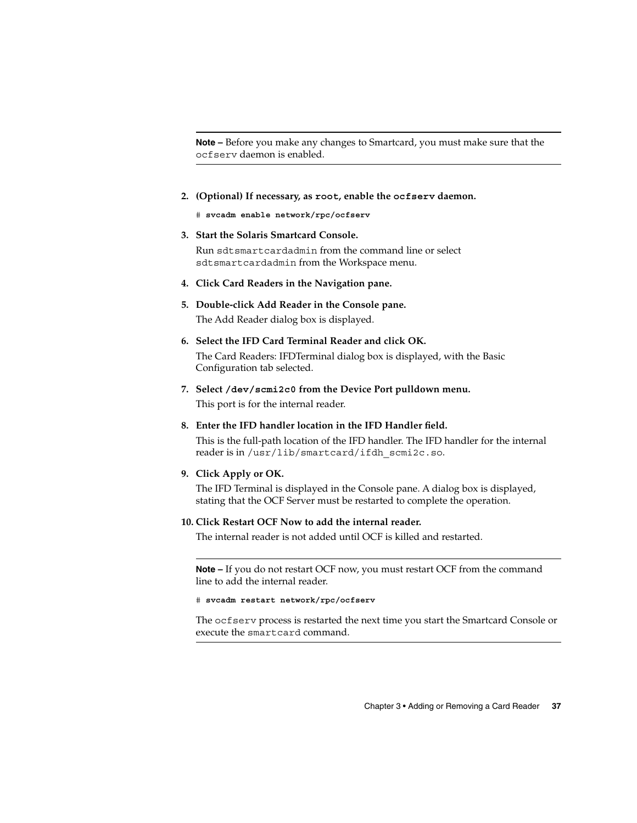**Note –** Before you make any changes to Smartcard, you must make sure that the ocfserv daemon is enabled.

- **2. (Optional) If necessary, as root, enable the ocfserv daemon.**
	- # **svcadm enable network/rpc/ocfserv**
- **3. Start the Solaris Smartcard Console.**

Run sdtsmartcardadmin from the command line or select sdtsmartcardadmin from the Workspace menu.

- **4. Click Card Readers in the Navigation pane.**
- **5. Double-click Add Reader in the Console pane.** The Add Reader dialog box is displayed.
- **6. Select the IFD Card Terminal Reader and click OK.** The Card Readers: IFDTerminal dialog box is displayed, with the Basic Configuration tab selected.
- **7. Select /dev/scmi2c0 from the Device Port pulldown menu.** This port is for the internal reader.
- **8. Enter the IFD handler location in the IFD Handler field.**

This is the full-path location of the IFD handler. The IFD handler for the internal reader is in /usr/lib/smartcard/ifdh\_scmi2c.so.

**9. Click Apply or OK.**

The IFD Terminal is displayed in the Console pane. A dialog box is displayed, stating that the OCF Server must be restarted to complete the operation.

**10. Click Restart OCF Now to add the internal reader.**

The internal reader is not added until OCF is killed and restarted.

**Note –** If you do not restart OCF now, you must restart OCF from the command line to add the internal reader.

# **svcadm restart network/rpc/ocfserv**

The ocfserv process is restarted the next time you start the Smartcard Console or execute the smartcard command.

Chapter 3 • Adding or Removing a Card Reader **37**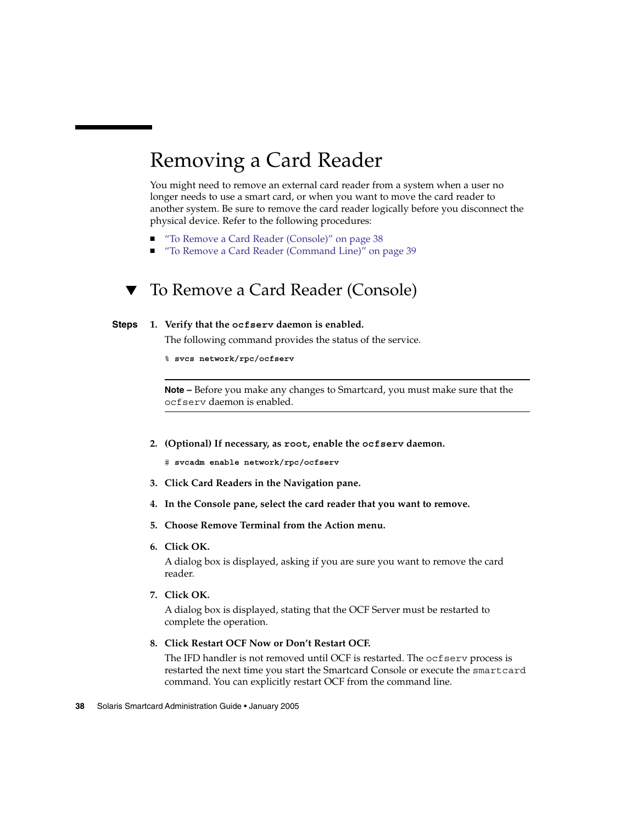# <span id="page-37-0"></span>Removing a Card Reader

You might need to remove an external card reader from a system when a user no longer needs to use a smart card, or when you want to move the card reader to another system. Be sure to remove the card reader logically before you disconnect the physical device. Refer to the following procedures:

- "To Remove a Card Reader (Console)" on page 38
- ["To Remove a Card Reader \(Command Line\)"](#page-38-0) on page 39

## ▼ To Remove a Card Reader (Console)

#### **1. Verify that the ocfserv daemon is enabled. Steps**

The following command provides the status of the service.

% **svcs network/rpc/ocfserv**

**Note –** Before you make any changes to Smartcard, you must make sure that the ocfserv daemon is enabled.

- **2. (Optional) If necessary, as root, enable the ocfserv daemon.**
	- # **svcadm enable network/rpc/ocfserv**
- **3. Click Card Readers in the Navigation pane.**
- **4. In the Console pane, select the card reader that you want to remove.**
- **5. Choose Remove Terminal from the Action menu.**
- **6. Click OK.**

A dialog box is displayed, asking if you are sure you want to remove the card reader.

**7. Click OK.**

A dialog box is displayed, stating that the OCF Server must be restarted to complete the operation.

### **8. Click Restart OCF Now or Don't Restart OCF.**

The IFD handler is not removed until OCF is restarted. The ocfserv process is restarted the next time you start the Smartcard Console or execute the smartcard command. You can explicitly restart OCF from the command line.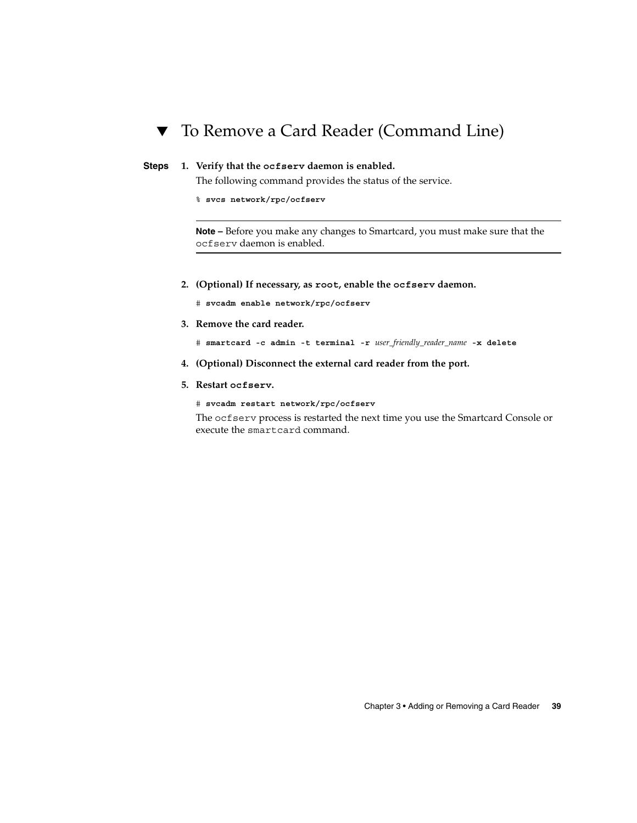## <span id="page-38-0"></span>▼ To Remove a Card Reader (Command Line)

#### **1. Verify that the ocfserv daemon is enabled. Steps**

The following command provides the status of the service.

```
% svcs network/rpc/ocfserv
```
**Note –** Before you make any changes to Smartcard, you must make sure that the ocfserv daemon is enabled.

- **2. (Optional) If necessary, as root, enable the ocfserv daemon.**
	- # **svcadm enable network/rpc/ocfserv**
- **3. Remove the card reader.**
	- # **smartcard -c admin -t terminal -r** *user\_friendly\_reader\_name* **-x delete**
- **4. (Optional) Disconnect the external card reader from the port.**
- **5. Restart ocfserv.**
	- # **svcadm restart network/rpc/ocfserv**

The ocfserv process is restarted the next time you use the Smartcard Console or execute the smartcard command.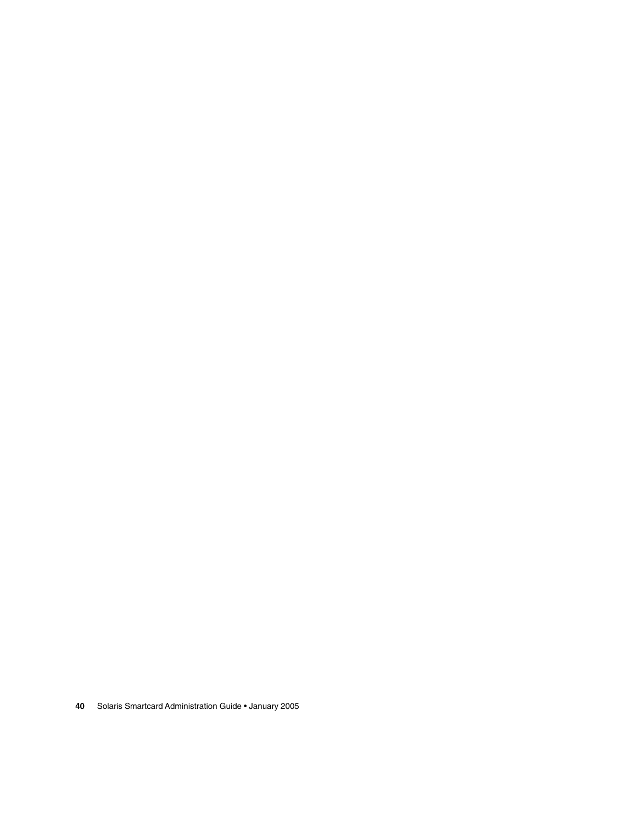Solaris Smartcard Administration Guide • January 2005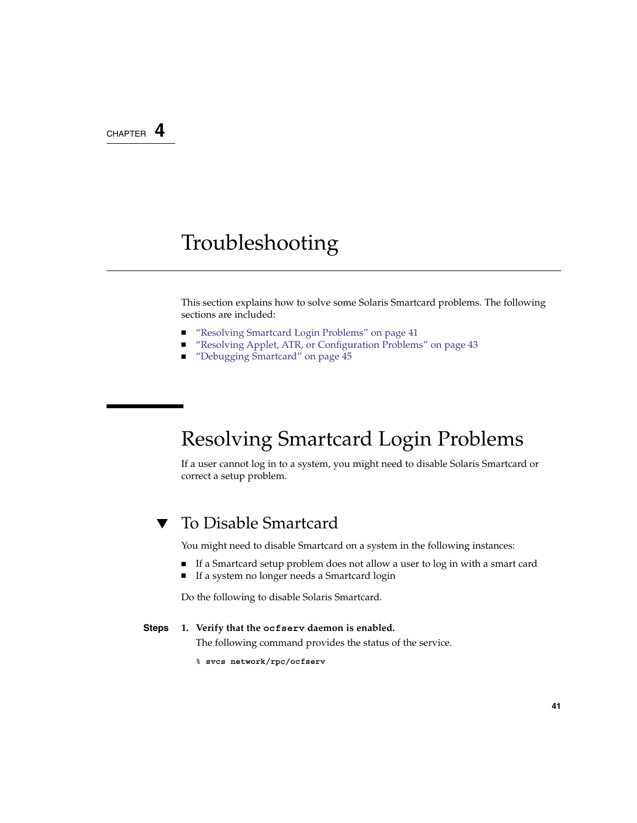<span id="page-40-0"></span>CHAPTER **4**

# Troubleshooting

This section explains how to solve some Solaris Smartcard problems. The following sections are included:

- "Resolving Smartcard Login Problems" on page 41
- ["Resolving Applet, ATR, or Configuration Problems"](#page-42-0) on page 43
- ["Debugging Smartcard"](#page-44-0) on page 45

# Resolving Smartcard Login Problems

If a user cannot log in to a system, you might need to disable Solaris Smartcard or correct a setup problem.

### To Disable Smartcard

You might need to disable Smartcard on a system in the following instances:

- If a Smartcard setup problem does not allow a user to log in with a smart card
- If a system no longer needs a Smartcard login

Do the following to disable Solaris Smartcard.

#### **1. Verify that the ocfserv daemon is enabled. Steps**

The following command provides the status of the service.

% **svcs network/rpc/ocfserv**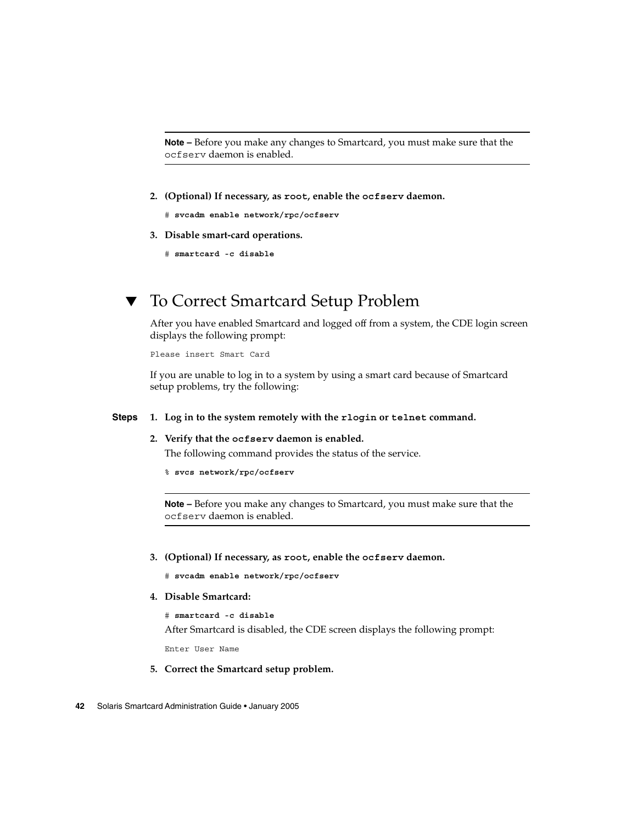<span id="page-41-0"></span>**Note –** Before you make any changes to Smartcard, you must make sure that the ocfserv daemon is enabled.

- **2. (Optional) If necessary, as root, enable the ocfserv daemon.**
	- # **svcadm enable network/rpc/ocfserv**
- **3. Disable smart-card operations.**
	- # **smartcard -c disable**
- 

### ▼ To Correct Smartcard Setup Problem

After you have enabled Smartcard and logged off from a system, the CDE login screen displays the following prompt:

Please insert Smart Card

If you are unable to log in to a system by using a smart card because of Smartcard setup problems, try the following:

#### **1. Log in to the system remotely with the rlogin or telnet command. Steps**

#### **2. Verify that the ocfserv daemon is enabled.**

The following command provides the status of the service.

% **svcs network/rpc/ocfserv**

**Note –** Before you make any changes to Smartcard, you must make sure that the ocfserv daemon is enabled.

**3. (Optional) If necessary, as root, enable the ocfserv daemon.**

# **svcadm enable network/rpc/ocfserv**

### **4. Disable Smartcard:**

# **smartcard -c disable** After Smartcard is disabled, the CDE screen displays the following prompt:

Enter User Name

- **5. Correct the Smartcard setup problem.**
- **42** Solaris Smartcard Administration Guide January 2005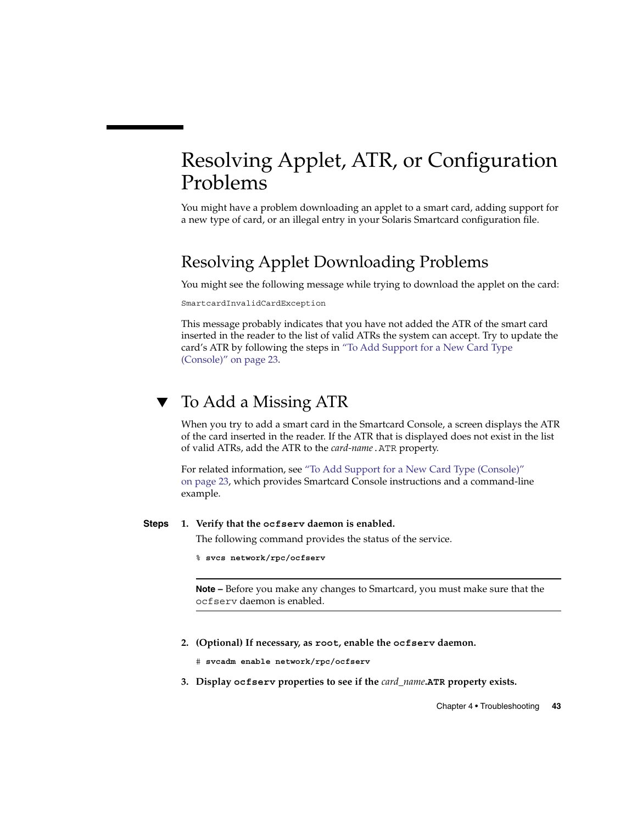# <span id="page-42-0"></span>Resolving Applet, ATR, or Configuration Problems

You might have a problem downloading an applet to a smart card, adding support for a new type of card, or an illegal entry in your Solaris Smartcard configuration file.

## Resolving Applet Downloading Problems

You might see the following message while trying to download the applet on the card:

SmartcardInvalidCardException

This message probably indicates that you have not added the ATR of the smart card inserted in the reader to the list of valid ATRs the system can accept. Try to update the card's ATR by following the steps in ["To Add Support for a New Card Type](#page-22-0) (Console)" [on page 23.](#page-22-0)

## To Add a Missing ATR

When you try to add a smart card in the Smartcard Console, a screen displays the ATR of the card inserted in the reader. If the ATR that is displayed does not exist in the list of valid ATRs, add the ATR to the *card-name*.ATR property.

For related information, see ["To Add Support for a New Card Type \(Console\)"](#page-22-0) [on page 23,](#page-22-0) which provides Smartcard Console instructions and a command-line example.

#### **1. Verify that the ocfserv daemon is enabled. Steps**

The following command provides the status of the service.

% **svcs network/rpc/ocfserv**

**Note –** Before you make any changes to Smartcard, you must make sure that the ocfserv daemon is enabled.

**2. (Optional) If necessary, as root, enable the ocfserv daemon.**

# **svcadm enable network/rpc/ocfserv**

**3. Display ocfserv properties to see if the** *card\_name***.ATR property exists.**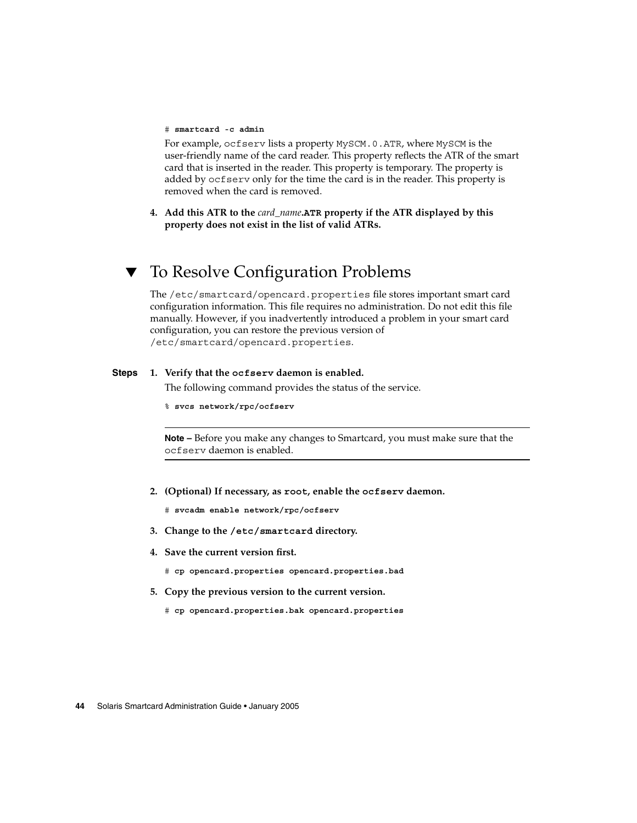#### <span id="page-43-0"></span># **smartcard -c admin**

For example, ocfserv lists a property MySCM.0.ATR, where MySCM is the user-friendly name of the card reader. This property reflects the ATR of the smart card that is inserted in the reader. This property is temporary. The property is added by ocfserv only for the time the card is in the reader. This property is removed when the card is removed.

**4. Add this ATR to the** *card\_name***.ATR property if the ATR displayed by this property does not exist in the list of valid ATRs.**

### ▼ To Resolve Configuration Problems

The /etc/smartcard/opencard.properties file stores important smart card configuration information. This file requires no administration. Do not edit this file manually. However, if you inadvertently introduced a problem in your smart card configuration, you can restore the previous version of /etc/smartcard/opencard.properties.

#### **1. Verify that the ocfserv daemon is enabled. Steps**

The following command provides the status of the service.

% **svcs network/rpc/ocfserv**

**Note –** Before you make any changes to Smartcard, you must make sure that the ocfserv daemon is enabled.

- **2. (Optional) If necessary, as root, enable the ocfserv daemon.**
	- # **svcadm enable network/rpc/ocfserv**
- **3. Change to the /etc/smartcard directory.**
- **4. Save the current version first.**
	- # **cp opencard.properties opencard.properties.bad**
- **5. Copy the previous version to the current version.**
	- # **cp opencard.properties.bak opencard.properties**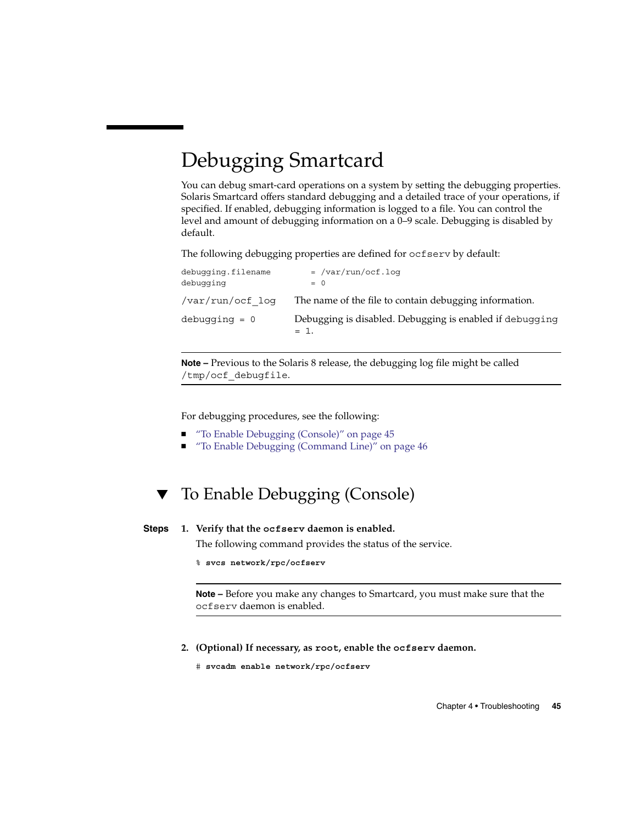# <span id="page-44-0"></span>Debugging Smartcard

You can debug smart-card operations on a system by setting the debugging properties. Solaris Smartcard offers standard debugging and a detailed trace of your operations, if specified. If enabled, debugging information is logged to a file. You can control the level and amount of debugging information on a 0–9 scale. Debugging is disabled by default.

The following debugging properties are defined for ocfserv by default:

| debugging.filename<br>debuqqinq | $= /var/run/ocf.loq$<br>$= 0$                                      |
|---------------------------------|--------------------------------------------------------------------|
| /var/run/ocf loq                | The name of the file to contain debugging information.             |
| debugging = 0                   | Debugging is disabled. Debugging is enabled if debugging<br>$= 1.$ |

**Note –** Previous to the Solaris 8 release, the debugging log file might be called /tmp/ocf\_debugfile.

For debugging procedures, see the following:

- "To Enable Debugging (Console)" on page 45
- ["To Enable Debugging \(Command Line\)"](#page-45-0) on page 46

## ▼ To Enable Debugging (Console)

#### **1. Verify that the ocfserv daemon is enabled. Steps**

The following command provides the status of the service.

% **svcs network/rpc/ocfserv**

**Note –** Before you make any changes to Smartcard, you must make sure that the ocfserv daemon is enabled.

- **2. (Optional) If necessary, as root, enable the ocfserv daemon.**
	- # **svcadm enable network/rpc/ocfserv**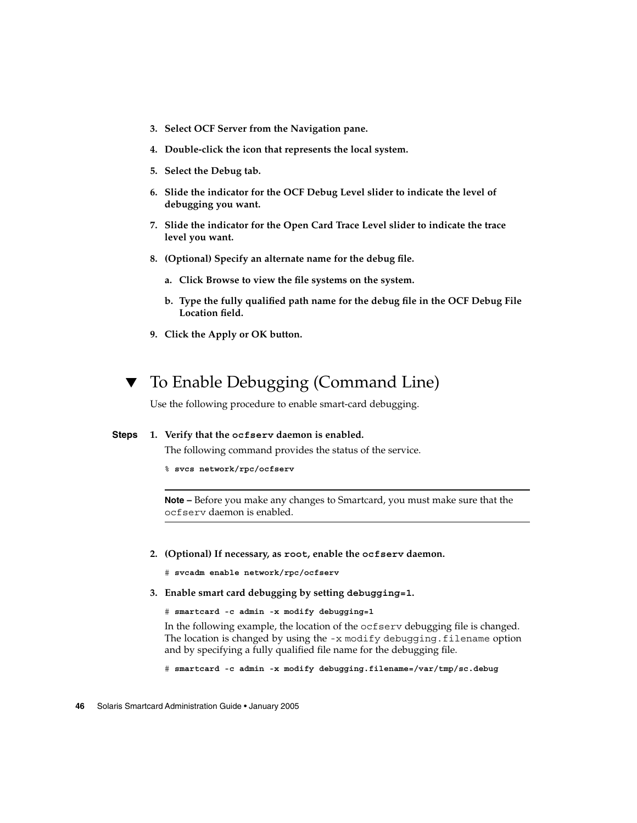- <span id="page-45-0"></span>**3. Select OCF Server from the Navigation pane.**
- **4. Double-click the icon that represents the local system.**
- **5. Select the Debug tab.**
- **6. Slide the indicator for the OCF Debug Level slider to indicate the level of debugging you want.**
- **7. Slide the indicator for the Open Card Trace Level slider to indicate the trace level you want.**
- **8. (Optional) Specify an alternate name for the debug file.**
	- **a. Click Browse to view the file systems on the system.**
	- **b. Type the fully qualified path name for the debug file in the OCF Debug File Location field.**
- **9. Click the Apply or OK button.**

### ▼ To Enable Debugging (Command Line)

Use the following procedure to enable smart-card debugging.

#### **1. Verify that the ocfserv daemon is enabled. Steps**

The following command provides the status of the service.

```
% svcs network/rpc/ocfserv
```

```
Note – Before you make any changes to Smartcard, you must make sure that the
ocfserv daemon is enabled.
```
**2. (Optional) If necessary, as root, enable the ocfserv daemon.**

# **svcadm enable network/rpc/ocfserv**

**3. Enable smart card debugging by setting debugging=1.**

```
# smartcard -c admin -x modify debugging=1
```
In the following example, the location of the ocfserv debugging file is changed. The location is changed by using the -x modify debugging.filename option and by specifying a fully qualified file name for the debugging file.

# **smartcard -c admin -x modify debugging.filename=/var/tmp/sc.debug**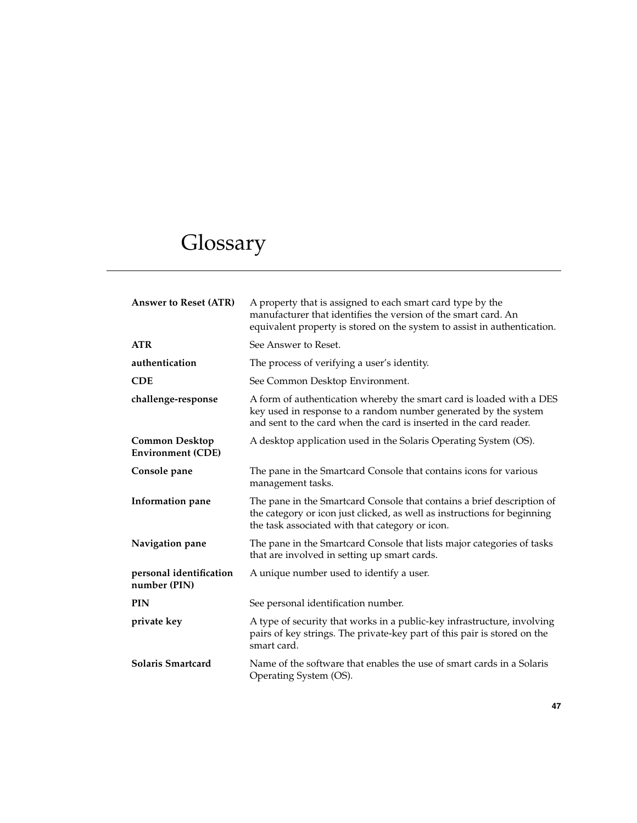# <span id="page-46-0"></span>Glossary

| <b>Answer to Reset (ATR)</b>                      | A property that is assigned to each smart card type by the<br>manufacturer that identifies the version of the smart card. An<br>equivalent property is stored on the system to assist in authentication.      |
|---------------------------------------------------|---------------------------------------------------------------------------------------------------------------------------------------------------------------------------------------------------------------|
| <b>ATR</b>                                        | See Answer to Reset.                                                                                                                                                                                          |
| authentication                                    | The process of verifying a user's identity.                                                                                                                                                                   |
| <b>CDE</b>                                        | See Common Desktop Environment.                                                                                                                                                                               |
| challenge-response                                | A form of authentication whereby the smart card is loaded with a DES<br>key used in response to a random number generated by the system<br>and sent to the card when the card is inserted in the card reader. |
| <b>Common Desktop</b><br><b>Environment (CDE)</b> | A desktop application used in the Solaris Operating System (OS).                                                                                                                                              |
| Console pane                                      | The pane in the Smartcard Console that contains icons for various<br>management tasks.                                                                                                                        |
| Information pane                                  | The pane in the Smartcard Console that contains a brief description of<br>the category or icon just clicked, as well as instructions for beginning<br>the task associated with that category or icon.         |
| Navigation pane                                   | The pane in the Smartcard Console that lists major categories of tasks<br>that are involved in setting up smart cards.                                                                                        |
| personal identification<br>number (PIN)           | A unique number used to identify a user.                                                                                                                                                                      |
| <b>PIN</b>                                        | See personal identification number.                                                                                                                                                                           |
| private key                                       | A type of security that works in a public-key infrastructure, involving<br>pairs of key strings. The private-key part of this pair is stored on the<br>smart card.                                            |
| Solaris Smartcard                                 | Name of the software that enables the use of smart cards in a Solaris<br>Operating System (OS).                                                                                                               |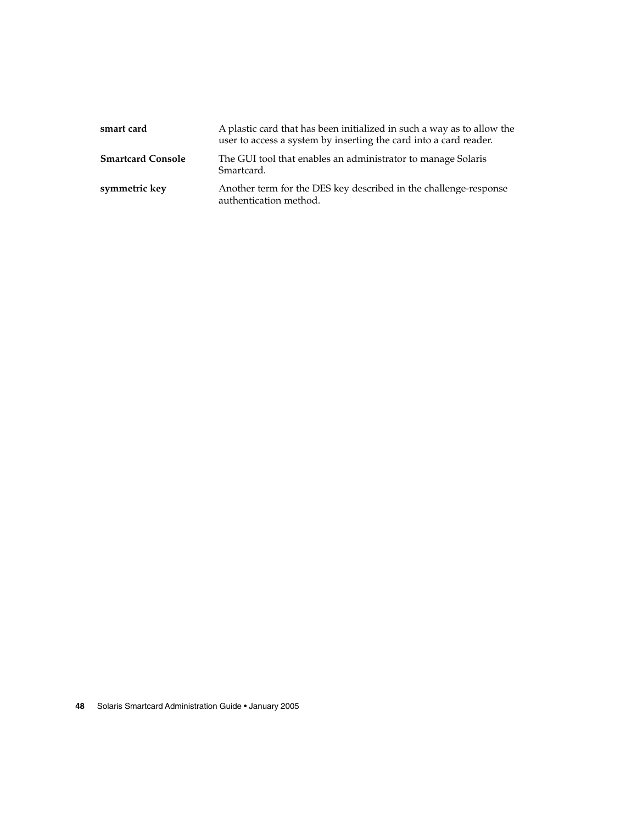| smart card               | A plastic card that has been initialized in such a way as to allow the<br>user to access a system by inserting the card into a card reader. |
|--------------------------|---------------------------------------------------------------------------------------------------------------------------------------------|
| <b>Smartcard Console</b> | The GUI tool that enables an administrator to manage Solaris<br>Smartcard.                                                                  |
| symmetric key            | Another term for the DES key described in the challenge-response<br>authentication method.                                                  |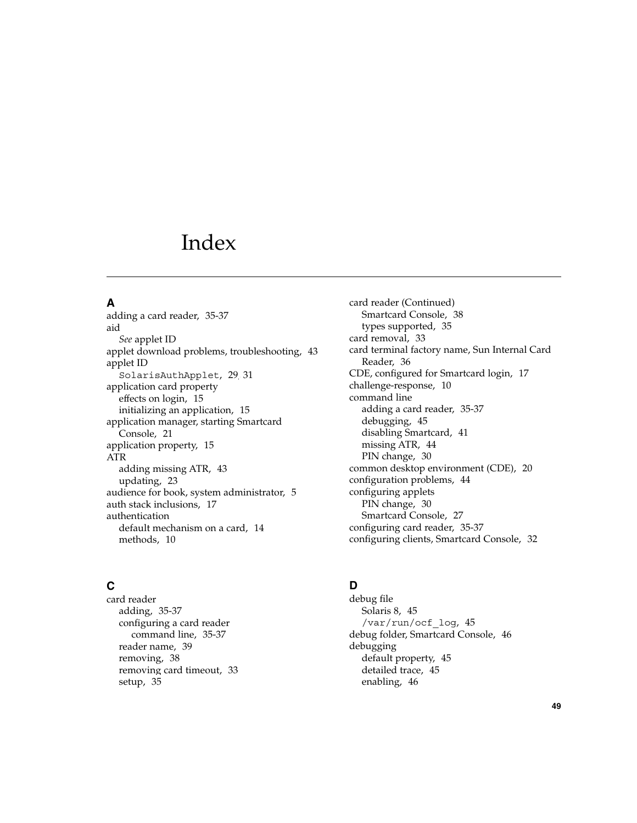# <span id="page-48-0"></span>Index

### **A**

adding a card reader, [35-37](#page-34-0) aid *See* applet ID applet download problems, troubleshooting, [43](#page-42-0) applet ID SolarisAuthApplet, [29,](#page-28-0) [31](#page-30-0) application card property effects on login, [15](#page-14-0) initializing an application, [15](#page-14-0) application manager, starting Smartcard Console, [21](#page-20-0) application property, [15](#page-14-0) ATR adding missing ATR, [43](#page-42-0) updating, [23](#page-22-0) audience for book, system administrator, [5](#page-4-0) auth stack inclusions, [17](#page-16-0) authentication default mechanism on a card, [14](#page-13-0) methods, [10](#page-9-0)

### **C**

card reader adding, [35-37](#page-34-0) configuring a card reader command line, [35-37](#page-34-0) reader name, [39](#page-38-0) removing, [38](#page-37-0) removing card timeout, [33](#page-32-0) setup, [35](#page-34-0)

card reader (Continued) Smartcard Console, [38](#page-37-0) types supported, [35](#page-34-0) card removal, [33](#page-32-0) card terminal factory name, Sun Internal Card Reader, [36](#page-35-0) CDE, configured for Smartcard login, [17](#page-16-0) challenge-response, [10](#page-9-0) command line adding a card reader, [35-37](#page-34-0) debugging, [45](#page-44-0) disabling Smartcard, [41](#page-40-0) missing ATR, [44](#page-43-0) PIN change, [30](#page-29-0) common desktop environment (CDE), [20](#page-19-0) configuration problems, [44](#page-43-0) configuring applets PIN change, [30](#page-29-0) Smartcard Console, [27](#page-26-0) configuring card reader, [35-37](#page-34-0) configuring clients, Smartcard Console, [32](#page-31-0)

### **D**

debug file Solaris 8, [45](#page-44-0) /var/run/ocf\_log, [45](#page-44-0) debug folder, Smartcard Console, [46](#page-45-0) debugging default property, [45](#page-44-0) detailed trace, [45](#page-44-0) enabling, [46](#page-45-0)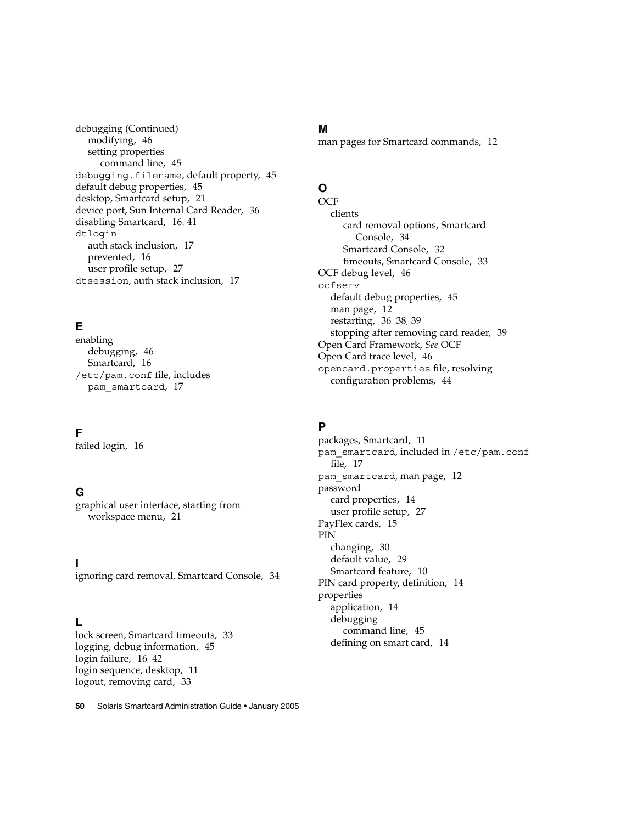debugging (Continued) modifying, [46](#page-45-0) setting properties command line, [45](#page-44-0) debugging.filename, default property, [45](#page-44-0) default debug properties, [45](#page-44-0) desktop, Smartcard setup, [21](#page-20-0) device port, Sun Internal Card Reader, [36](#page-35-0) disabling Smartcard, [16,](#page-15-0) [41](#page-40-0) dtlogin auth stack inclusion, [17](#page-16-0) prevented, [16](#page-15-0) user profile setup, [27](#page-26-0) dtsession, auth stack inclusion, [17](#page-16-0)

### **E**

enabling debugging, [46](#page-45-0) Smartcard, [16](#page-15-0) /etc/pam.conf file, includes pam\_smartcard, [17](#page-16-0)

### **F**

failed login, [16](#page-15-0)

### **G**

graphical user interface, starting from workspace menu, [21](#page-20-0)

**I** ignoring card removal, Smartcard Console, [34](#page-33-0)

### **L**

lock screen, Smartcard timeouts, [33](#page-32-0) logging, debug information, [45](#page-44-0) login failure, [16,](#page-15-0) [42](#page-41-0) login sequence, desktop, [11](#page-10-0) logout, removing card, [33](#page-32-0)

### **M**

man pages for Smartcard commands, [12](#page-11-0)

### **O**

**OCF** clients card removal options, Smartcard Console, [34](#page-33-0) Smartcard Console, [32](#page-31-0) timeouts, Smartcard Console, [33](#page-32-0) OCF debug level, [46](#page-45-0) ocfserv default debug properties, [45](#page-44-0) man page, [12](#page-11-0) restarting, [36,](#page-35-0) [38,](#page-37-0) [39](#page-38-0) stopping after removing card reader, [39](#page-38-0) Open Card Framework, *See* OCF Open Card trace level, [46](#page-45-0) opencard.properties file, resolving configuration problems, [44](#page-43-0)

### **P**

packages, Smartcard, [11](#page-10-0) pam\_smartcard, included in /etc/pam.conf file, [17](#page-16-0) pam\_smartcard, man page, [12](#page-11-0) password card properties, [14](#page-13-0) user profile setup, [27](#page-26-0) PayFlex cards, [15](#page-14-0) PIN changing, [30](#page-29-0) default value, [29](#page-28-0) Smartcard feature, [10](#page-9-0) PIN card property, definition, [14](#page-13-0) properties application, [14](#page-13-0) debugging command line, [45](#page-44-0) defining on smart card, [14](#page-13-0)

**50** Solaris Smartcard Administration Guide • January 2005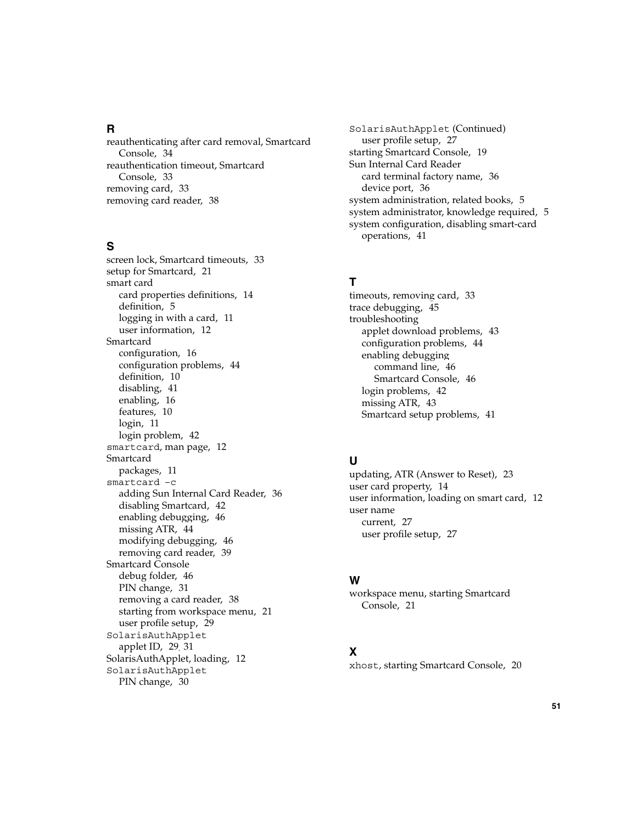### **R**

reauthenticating after card removal, Smartcard Console, [34](#page-33-0) reauthentication timeout, Smartcard Console, [33](#page-32-0) removing card, [33](#page-32-0) removing card reader, [38](#page-37-0)

### **S**

screen lock, Smartcard timeouts, [33](#page-32-0) setup for Smartcard, [21](#page-20-0) smart card card properties definitions, [14](#page-13-0) definition, [5](#page-4-0) logging in with a card, [11](#page-10-0) user information, [12](#page-11-0) Smartcard configuration, [16](#page-15-0) configuration problems, [44](#page-43-0) definition, [10](#page-9-0) disabling, [41](#page-40-0) enabling, [16](#page-15-0) features, [10](#page-9-0) login, [11](#page-10-0) login problem, [42](#page-41-0) smartcard, man page, [12](#page-11-0) Smartcard packages, [11](#page-10-0) smartcard –c adding Sun Internal Card Reader, [36](#page-35-0) disabling Smartcard, [42](#page-41-0) enabling debugging, [46](#page-45-0) missing ATR, [44](#page-43-0) modifying debugging, [46](#page-45-0) removing card reader, [39](#page-38-0) Smartcard Console debug folder, [46](#page-45-0) PIN change, [31](#page-30-0) removing a card reader, [38](#page-37-0) starting from workspace menu, [21](#page-20-0) user profile setup, [29](#page-28-0) SolarisAuthApplet applet ID, [29,](#page-28-0) [31](#page-30-0) SolarisAuthApplet, loading, [12](#page-11-0) SolarisAuthApplet PIN change, [30](#page-29-0)

SolarisAuthApplet (Continued) user profile setup, [27](#page-26-0) starting Smartcard Console, [19](#page-18-0) Sun Internal Card Reader card terminal factory name, [36](#page-35-0) device port, [36](#page-35-0) system administration, related books, [5](#page-4-0) system administrator, knowledge required, [5](#page-4-0) system configuration, disabling smart-card operations, [41](#page-40-0)

### **T**

timeouts, removing card, [33](#page-32-0) trace debugging, [45](#page-44-0) troubleshooting applet download problems, [43](#page-42-0) configuration problems, [44](#page-43-0) enabling debugging command line, [46](#page-45-0) Smartcard Console, [46](#page-45-0) login problems, [42](#page-41-0) missing ATR, [43](#page-42-0) Smartcard setup problems, [41](#page-40-0)

### **U**

updating, ATR (Answer to Reset), [23](#page-22-0) user card property, [14](#page-13-0) user information, loading on smart card, [12](#page-11-0) user name current, [27](#page-26-0) user profile setup, [27](#page-26-0)

### **W**

workspace menu, starting Smartcard Console, [21](#page-20-0)

### **X**

xhost, starting Smartcard Console, [20](#page-19-0)